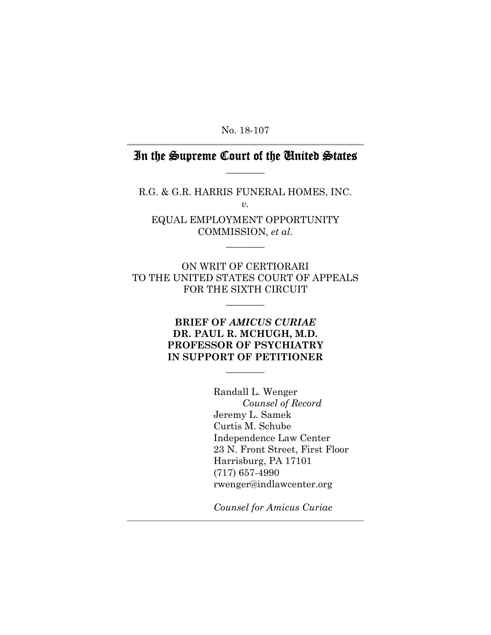No. 18-107

## In the Supreme Court of the United States  $\overline{\phantom{a}}$   $\overline{\phantom{a}}$

R.G. & G.R. HARRIS FUNERAL HOMES, INC. *v.* 

EQUAL EMPLOYMENT OPPORTUNITY COMMISSION, *et al*.

 $\overline{\phantom{a}}$ 

ON WRIT OF CERTIORARI TO THE UNITED STATES COURT OF APPEALS FOR THE SIXTH CIRCUIT

 $\overline{\phantom{a}}$   $\overline{\phantom{a}}$ 

### **BRIEF OF** *AMICUS CURIAE*  **DR. PAUL R. MCHUGH, M.D. PROFESSOR OF PSYCHIATRY IN SUPPORT OF PETITIONER**

 $\overline{\phantom{a}}$ 

 Randall L. Wenger *Counsel of Record* Jeremy L. Samek Curtis M. Schube Independence Law Center 23 N. Front Street, First Floor Harrisburg, PA 17101 (717) 657-4990 rwenger@indlawcenter.org

*Counsel for Amicus Curiae*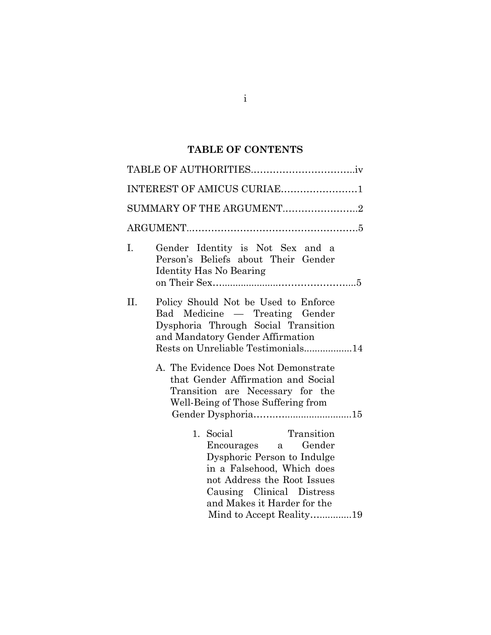# **TABLE OF CONTENTS**

|    | INTEREST OF AMICUS CURIAE1                                                                                                                                                                                                         |  |
|----|------------------------------------------------------------------------------------------------------------------------------------------------------------------------------------------------------------------------------------|--|
|    | SUMMARY OF THE ARGUMENT2                                                                                                                                                                                                           |  |
|    |                                                                                                                                                                                                                                    |  |
| Ι. | Gender Identity is Not Sex and a<br>Person's Beliefs about Their Gender<br><b>Identity Has No Bearing</b>                                                                                                                          |  |
|    |                                                                                                                                                                                                                                    |  |
| П. | Policy Should Not be Used to Enforce<br>Bad Medicine — Treating Gender<br>Dysphoria Through Social Transition<br>and Mandatory Gender Affirmation<br>Rests on Unreliable Testimonials14                                            |  |
|    | A. The Evidence Does Not Demonstrate<br>that Gender Affirmation and Social<br>Transition are Necessary for the<br>Well-Being of Those Suffering from                                                                               |  |
|    | Transition<br>1. Social<br>Encourages a Gender<br>Dysphoric Person to Indulge<br>in a Falsehood, Which does<br>not Address the Root Issues<br>Causing Clinical Distress<br>and Makes it Harder for the<br>Mind to Accept Reality19 |  |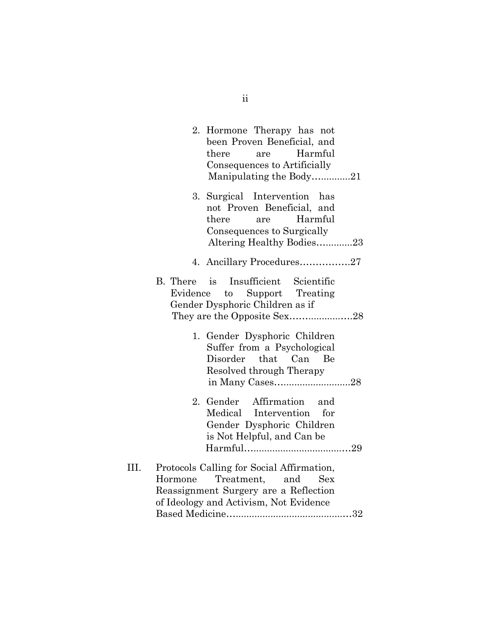|      |                         | 2. Hormone Therapy has not<br>been Proven Beneficial, and<br>there<br>Harmful<br>are<br>Consequences to Artificially<br>Manipulating the Body21       |
|------|-------------------------|-------------------------------------------------------------------------------------------------------------------------------------------------------|
|      |                         | 3. Surgical Intervention has<br>not Proven Beneficial, and<br>Harmful<br>there<br>are<br>Consequences to Surgically<br>Altering Healthy Bodies23      |
|      |                         | 4. Ancillary Procedures27                                                                                                                             |
|      | B. There is<br>Evidence | Insufficient Scientific<br>to Support Treating<br>Gender Dysphoric Children as if                                                                     |
|      |                         | 1. Gender Dysphoric Children<br>Suffer from a Psychological<br>Disorder that Can Be<br>Resolved through Therapy                                       |
|      |                         | 2. Gender Affirmation and<br>Medical Intervention for<br>Gender Dysphoric Children<br>is Not Helpful, and Can be                                      |
| III. | Hormone                 | Protocols Calling for Social Affirmation,<br>Treatment, and<br>Sex<br>Reassignment Surgery are a Reflection<br>of Ideology and Activism, Not Evidence |

ii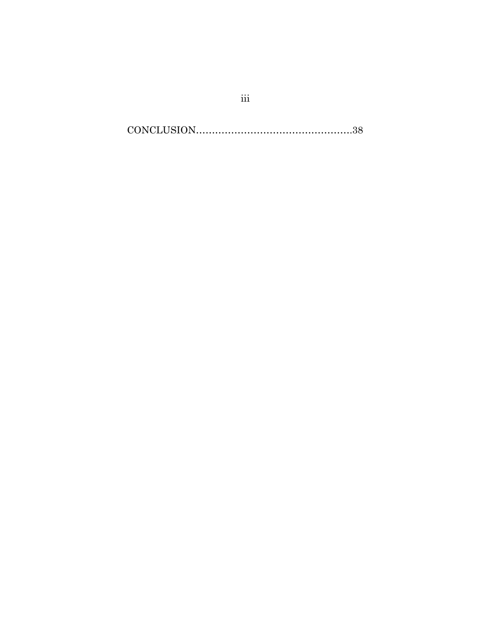CONCLUSION………………………………………….38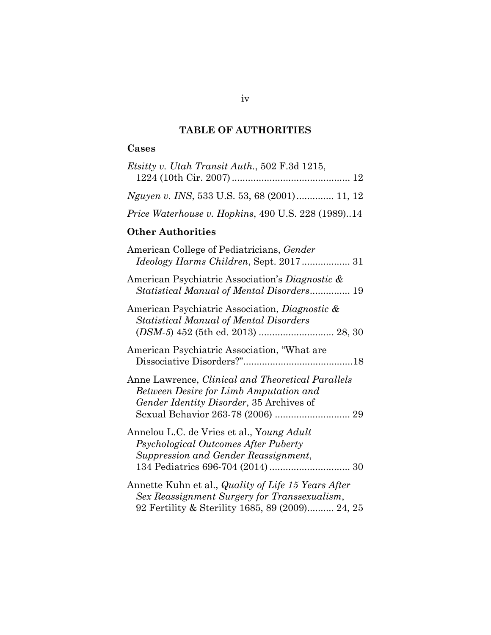# **TABLE OF AUTHORITIES**

## **Cases**

| Etsitty v. Utah Transit Auth., 502 F.3d 1215,                                                                                                                                |
|------------------------------------------------------------------------------------------------------------------------------------------------------------------------------|
| Nguyen v. INS, 533 U.S. 53, 68 (2001) 11, 12                                                                                                                                 |
| Price Waterhouse v. Hopkins, 490 U.S. 228 (1989)14                                                                                                                           |
| <b>Other Authorities</b>                                                                                                                                                     |
| American College of Pediatricians, Gender<br>Ideology Harms Children, Sept. 2017 31                                                                                          |
| American Psychiatric Association's Diagnostic &<br>Statistical Manual of Mental Disorders 19                                                                                 |
| American Psychiatric Association, <i>Diagnostic &amp;</i><br><b>Statistical Manual of Mental Disorders</b>                                                                   |
| American Psychiatric Association, "What are                                                                                                                                  |
| Anne Lawrence, Clinical and Theoretical Parallels<br>Between Desire for Limb Amputation and<br>Gender Identity Disorder, 35 Archives of<br>Sexual Behavior 263-78 (2006)  29 |
| Annelou L.C. de Vries et al., Young Adult<br>Psychological Outcomes After Puberty<br>Suppression and Gender Reassignment,                                                    |
| Annette Kuhn et al., Quality of Life 15 Years After<br>Sex Reassignment Surgery for Transsexualism,<br>92 Fertility & Sterility 1685, 89 (2009) 24, 25                       |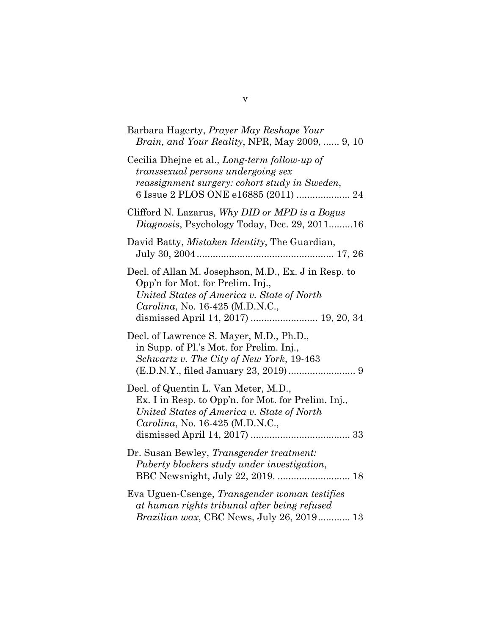| Barbara Hagerty, <i>Prayer May Reshape Your</i><br><i>Brain, and Your Reality, NPR, May 2009,  9, 10</i>                                                                                                           |
|--------------------------------------------------------------------------------------------------------------------------------------------------------------------------------------------------------------------|
| Cecilia Dhejne et al., Long-term follow-up of<br>transsexual persons undergoing sex<br>reassignment surgery: cohort study in Sweden,<br>6 Issue 2 PLOS ONE e16885 (2011)  24                                       |
| Clifford N. Lazarus, Why DID or MPD is a Bogus<br>Diagnosis, Psychology Today, Dec. 29, 201116                                                                                                                     |
| David Batty, <i>Mistaken Identity</i> , The Guardian,                                                                                                                                                              |
| Decl. of Allan M. Josephson, M.D., Ex. J in Resp. to<br>Opp'n for Mot. for Prelim. Inj.,<br>United States of America v. State of North<br>Carolina, No. 16-425 (M.D.N.C.,<br>dismissed April 14, 2017)  19, 20, 34 |
| Decl. of Lawrence S. Mayer, M.D., Ph.D.,<br>in Supp. of Pl.'s Mot. for Prelim. Inj.,<br>Schwartz v. The City of New York, 19-463                                                                                   |
| Decl. of Quentin L. Van Meter, M.D.,<br>Ex. I in Resp. to Opp'n. for Mot. for Prelim. Inj.,<br>United States of America v. State of North<br>Carolina, No. 16-425 (M.D.N.C.,                                       |
| Dr. Susan Bewley, Transgender treatment:<br>Puberty blockers study under investigation,                                                                                                                            |
| Eva Uguen-Csenge, Transgender woman testifies<br>at human rights tribunal after being refused<br>Brazilian wax, CBC News, July 26, 2019 13                                                                         |

v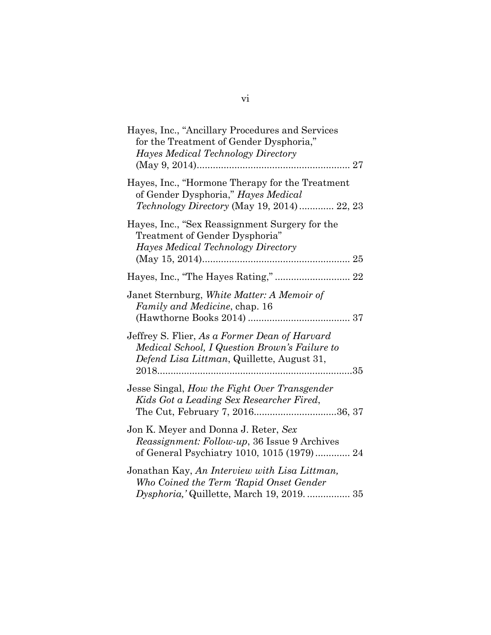| Hayes, Inc., "Ancillary Procedures and Services<br>for the Treatment of Gender Dysphoria,"<br>Hayes Medical Technology Directory             |
|----------------------------------------------------------------------------------------------------------------------------------------------|
| Hayes, Inc., "Hormone Therapy for the Treatment<br>of Gender Dysphoria," Hayes Medical<br>Technology Directory (May 19, 2014)  22, 23        |
| Hayes, Inc., "Sex Reassignment Surgery for the<br>Treatment of Gender Dysphoria"<br>Hayes Medical Technology Directory                       |
|                                                                                                                                              |
| Janet Sternburg, White Matter: A Memoir of<br>Family and Medicine, chap. 16                                                                  |
| Jeffrey S. Flier, As a Former Dean of Harvard<br>Medical School, I Question Brown's Failure to<br>Defend Lisa Littman, Quillette, August 31, |
| Jesse Singal, How the Fight Over Transgender<br>Kids Got a Leading Sex Researcher Fired,                                                     |
| Jon K. Meyer and Donna J. Reter, Sex<br><i>Reassignment: Follow-up</i> , 36 Issue 9 Archives<br>of General Psychiatry 1010, 1015 (1979) 24   |
| Jonathan Kay, An Interview with Lisa Littman,<br>Who Coined the Term 'Rapid Onset Gender<br>Dysphoria,'Quillette, March 19, 2019.  35        |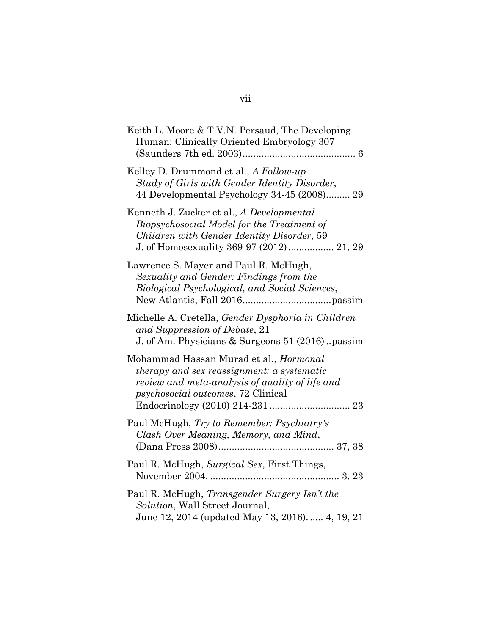| Keith L. Moore & T.V.N. Persaud, The Developing<br>Human: Clinically Oriented Embryology 307                                                                                                |
|---------------------------------------------------------------------------------------------------------------------------------------------------------------------------------------------|
| Kelley D. Drummond et al., A Follow-up<br>Study of Girls with Gender Identity Disorder,<br>44 Developmental Psychology 34-45 (2008) 29                                                      |
| Kenneth J. Zucker et al., A Developmental<br>Biopsychosocial Model for the Treatment of<br>Children with Gender Identity Disorder, 59<br>J. of Homosexuality 369-97 (2012) 21, 29           |
| Lawrence S. Mayer and Paul R. McHugh,<br>Sexuality and Gender: Findings from the<br>Biological Psychological, and Social Sciences,                                                          |
| Michelle A. Cretella, Gender Dysphoria in Children<br>and Suppression of Debate, 21<br>J. of Am. Physicians & Surgeons 51 (2016). passim                                                    |
| Mohammad Hassan Murad et al., Hormonal<br><i>therapy and sex reassignment: a systematic</i><br>review and meta-analysis of quality of life and<br><i>psychosocial outcomes, 72 Clinical</i> |
| Paul McHugh, Try to Remember: Psychiatry's<br>Clash Over Meaning, Memory, and Mind,                                                                                                         |
| Paul R. McHugh, Surgical Sex, First Things,                                                                                                                                                 |
| Paul R. McHugh, Transgender Surgery Isn't the<br>Solution, Wall Street Journal,<br>June 12, 2014 (updated May 13, 2016) 4, 19, 21                                                           |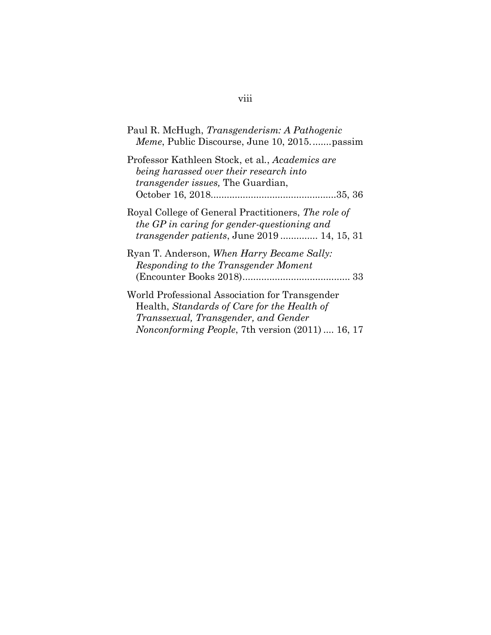| Paul R. McHugh, <i>Transgenderism: A Pathogenic</i><br><i>Meme</i> , Public Discourse, June 10, 2015passim                                                                                       |
|--------------------------------------------------------------------------------------------------------------------------------------------------------------------------------------------------|
| Professor Kathleen Stock, et al., Academics are<br>being harassed over their research into<br><i>transgender issues</i> , The Guardian,                                                          |
| Royal College of General Practitioners, The role of<br>the GP in caring for gender-questioning and<br><i>transgender patients</i> , June 2019  14, 15, 31                                        |
| Ryan T. Anderson, When Harry Became Sally:<br>Responding to the Transgender Moment                                                                                                               |
| World Professional Association for Transgender<br>Health, Standards of Care for the Health of<br>Transsexual, Transgender, and Gender<br><i>Nonconforming People, 7th version (2011)  16, 17</i> |

# viii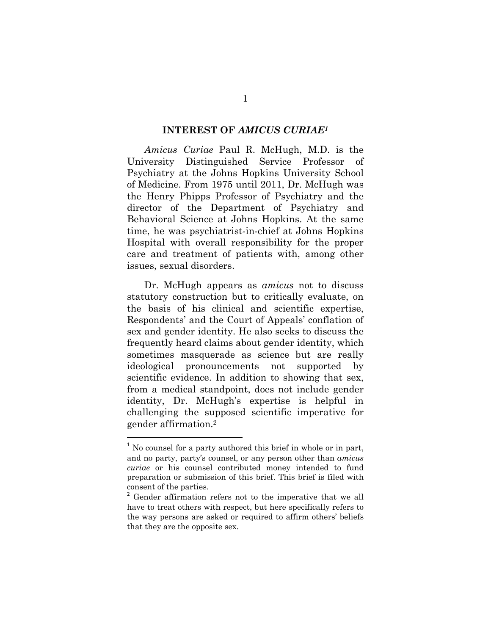#### **INTEREST OF** *AMICUS CURIAE1*

*Amicus Curiae* Paul R. McHugh, M.D. is the University Distinguished Service Professor of Psychiatry at the Johns Hopkins University School of Medicine. From 1975 until 2011, Dr. McHugh was the Henry Phipps Professor of Psychiatry and the director of the Department of Psychiatry and Behavioral Science at Johns Hopkins. At the same time, he was psychiatrist-in-chief at Johns Hopkins Hospital with overall responsibility for the proper care and treatment of patients with, among other issues, sexual disorders.

Dr. McHugh appears as *amicus* not to discuss statutory construction but to critically evaluate, on the basis of his clinical and scientific expertise, Respondents' and the Court of Appeals' conflation of sex and gender identity. He also seeks to discuss the frequently heard claims about gender identity, which sometimes masquerade as science but are really ideological pronouncements not supported by scientific evidence. In addition to showing that sex, from a medical standpoint, does not include gender identity, Dr. McHugh's expertise is helpful in challenging the supposed scientific imperative for gender affirmation.2

 $1$  No counsel for a party authored this brief in whole or in part, and no party, party's counsel, or any person other than *amicus curiae* or his counsel contributed money intended to fund preparation or submission of this brief. This brief is filed with consent of the parties.

<sup>&</sup>lt;sup>2</sup> Gender affirmation refers not to the imperative that we all have to treat others with respect, but here specifically refers to the way persons are asked or required to affirm others' beliefs that they are the opposite sex.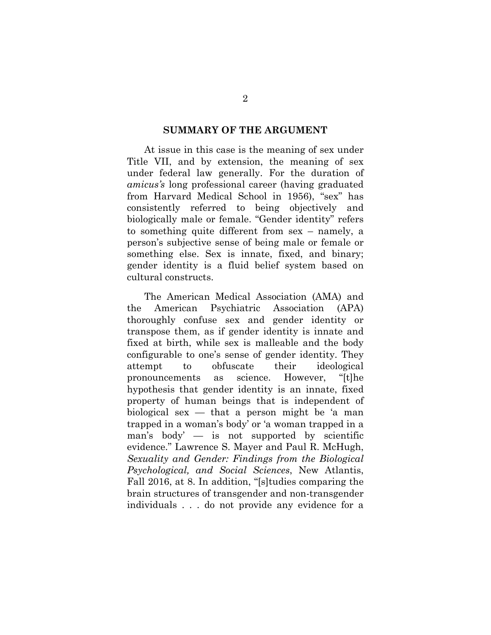#### **SUMMARY OF THE ARGUMENT**

At issue in this case is the meaning of sex under Title VII, and by extension, the meaning of sex under federal law generally. For the duration of *amicus's* long professional career (having graduated from Harvard Medical School in 1956), "sex" has consistently referred to being objectively and biologically male or female. "Gender identity" refers to something quite different from sex – namely, a person's subjective sense of being male or female or something else. Sex is innate, fixed, and binary; gender identity is a fluid belief system based on cultural constructs.

The American Medical Association (AMA) and the American Psychiatric Association (APA) thoroughly confuse sex and gender identity or transpose them, as if gender identity is innate and fixed at birth, while sex is malleable and the body configurable to one's sense of gender identity. They attempt to obfuscate their ideological pronouncements as science. However, "[t]he hypothesis that gender identity is an innate, fixed property of human beings that is independent of biological sex  $-$  that a person might be 'a man trapped in a woman's body' or 'a woman trapped in a man's body' — is not supported by scientific evidence." Lawrence S. Mayer and Paul R. McHugh, *Sexuality and Gender: Findings from the Biological Psychological, and Social Sciences*, New Atlantis, Fall 2016, at 8. In addition, "[s]tudies comparing the brain structures of transgender and non-transgender individuals . . . do not provide any evidence for a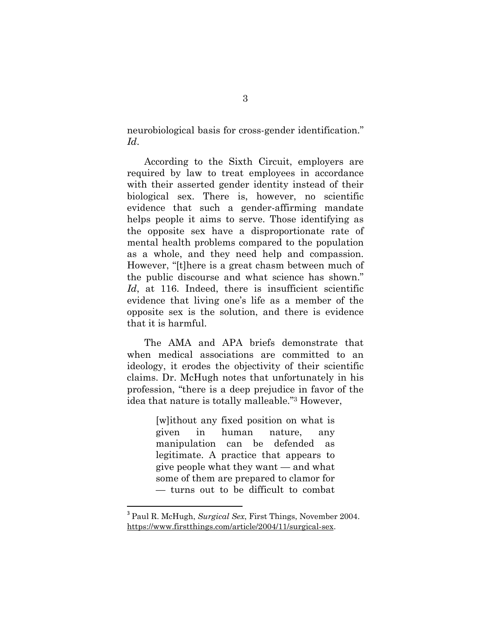neurobiological basis for cross-gender identification." *Id*.

According to the Sixth Circuit, employers are required by law to treat employees in accordance with their asserted gender identity instead of their biological sex. There is, however, no scientific evidence that such a gender-affirming mandate helps people it aims to serve. Those identifying as the opposite sex have a disproportionate rate of mental health problems compared to the population as a whole, and they need help and compassion. However, "[t]here is a great chasm between much of the public discourse and what science has shown." Id, at 116. Indeed, there is insufficient scientific evidence that living one's life as a member of the opposite sex is the solution, and there is evidence that it is harmful.

The AMA and APA briefs demonstrate that when medical associations are committed to an ideology, it erodes the objectivity of their scientific claims. Dr. McHugh notes that unfortunately in his profession, "there is a deep prejudice in favor of the idea that nature is totally malleable."3 However,

> [w]ithout any fixed position on what is given in human nature, any manipulation can be defended as legitimate. A practice that appears to give people what they want — and what some of them are prepared to clamor for — turns out to be difficult to combat

<sup>3</sup> Paul R. McHugh, *Surgical Sex*, First Things, November 2004. https://www.firstthings.com/article/2004/11/surgical-sex.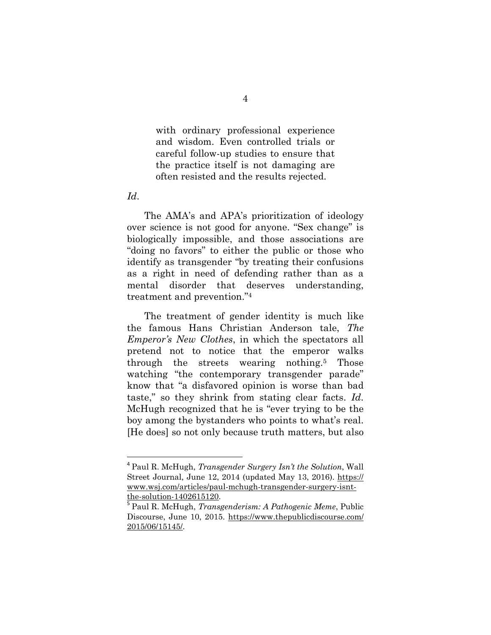with ordinary professional experience and wisdom. Even controlled trials or careful follow-up studies to ensure that the practice itself is not damaging are often resisted and the results rejected.

#### *Id*.

The AMA's and APA's prioritization of ideology over science is not good for anyone. "Sex change" is biologically impossible, and those associations are "doing no favors" to either the public or those who identify as transgender "by treating their confusions as a right in need of defending rather than as a mental disorder that deserves understanding, treatment and prevention."4

The treatment of gender identity is much like the famous Hans Christian Anderson tale, *The Emperor's New Clothes*, in which the spectators all pretend not to notice that the emperor walks through the streets wearing nothing.5 Those watching "the contemporary transgender parade" know that "a disfavored opinion is worse than bad taste," so they shrink from stating clear facts. *Id*. McHugh recognized that he is "ever trying to be the boy among the bystanders who points to what's real. [He does] so not only because truth matters, but also

<sup>4</sup> Paul R. McHugh, *Transgender Surgery Isn't the Solution*, Wall Street Journal, June 12, 2014 (updated May 13, 2016). https:// www.wsj.com/articles/paul-mchugh-transgender-surgery-isntthe-solution-1402615120.

<sup>5</sup> Paul R. McHugh, *Transgenderism: A Pathogenic Meme*, Public Discourse, June 10, 2015. https://www.thepublicdiscourse.com/ 2015/06/15145/.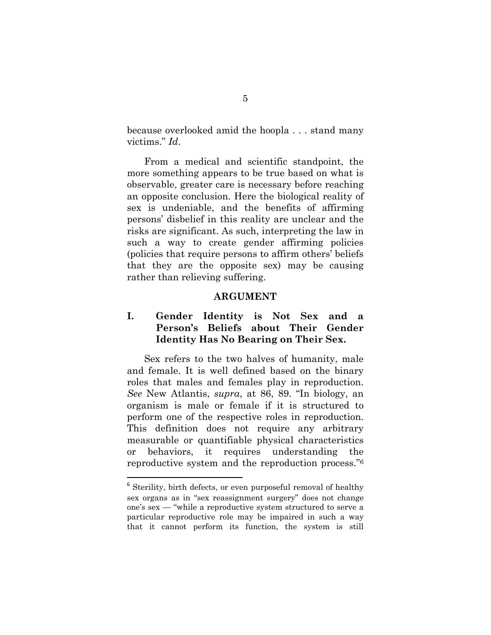because overlooked amid the hoopla . . . stand many victims." *Id*.

From a medical and scientific standpoint, the more something appears to be true based on what is observable, greater care is necessary before reaching an opposite conclusion. Here the biological reality of sex is undeniable, and the benefits of affirming persons' disbelief in this reality are unclear and the risks are significant. As such, interpreting the law in such a way to create gender affirming policies (policies that require persons to affirm others' beliefs that they are the opposite sex) may be causing rather than relieving suffering.

#### **ARGUMENT**

### **I. Gender Identity is Not Sex and a Person's Beliefs about Their Gender Identity Has No Bearing on Their Sex.**

Sex refers to the two halves of humanity, male and female. It is well defined based on the binary roles that males and females play in reproduction. *See* New Atlantis, *supra*, at 86, 89. "In biology, an organism is male or female if it is structured to perform one of the respective roles in reproduction. This definition does not require any arbitrary measurable or quantifiable physical characteristics or behaviors, it requires understanding the reproductive system and the reproduction process."6

<sup>&</sup>lt;sup>6</sup> Sterility, birth defects, or even purposeful removal of healthy sex organs as in "sex reassignment surgery" does not change one's sex — "while a reproductive system structured to serve a particular reproductive role may be impaired in such a way that it cannot perform its function, the system is still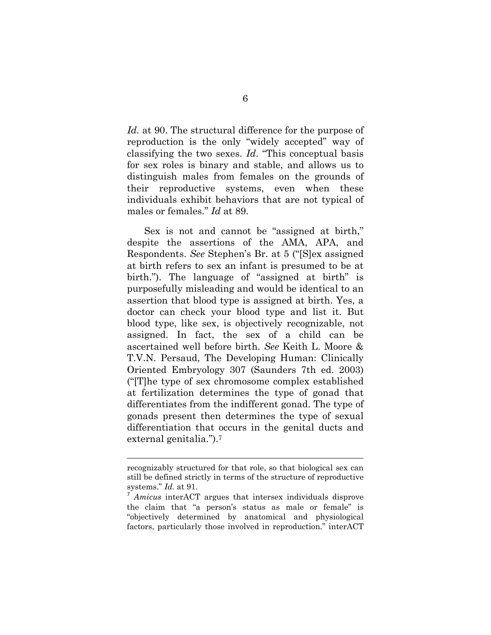*Id.* at 90. The structural difference for the purpose of reproduction is the only "widely accepted" way of classifying the two sexes. *Id*. "This conceptual basis for sex roles is binary and stable, and allows us to distinguish males from females on the grounds of their reproductive systems, even when these individuals exhibit behaviors that are not typical of males or females." *Id* at 89.

Sex is not and cannot be "assigned at birth," despite the assertions of the AMA, APA, and Respondents. *See* Stephen's Br. at 5 ("[S]ex assigned at birth refers to sex an infant is presumed to be at birth."). The language of "assigned at birth" is purposefully misleading and would be identical to an assertion that blood type is assigned at birth. Yes, a doctor can check your blood type and list it. But blood type, like sex, is objectively recognizable, not assigned. In fact, the sex of a child can be ascertained well before birth. *See* Keith L. Moore & T.V.N. Persaud, The Developing Human: Clinically Oriented Embryology 307 (Saunders 7th ed. 2003) ("[T]he type of sex chromosome complex established at fertilization determines the type of gonad that differentiates from the indifferent gonad. The type of gonads present then determines the type of sexual differentiation that occurs in the genital ducts and external genitalia.").7

<u> 1989 - Johann Stein, marwolaethau a bhann an t-Amhain Aonaichte ann an t-Amhain Aonaichte ann an t-Amhain Aon</u>

recognizably structured for that role, so that biological sex can still be defined strictly in terms of the structure of reproductive systems." *Id.* at 91.

<sup>7</sup> *Amicus* interACT argues that intersex individuals disprove the claim that "a person's status as male or female" is "objectively determined by anatomical and physiological factors, particularly those involved in reproduction." interACT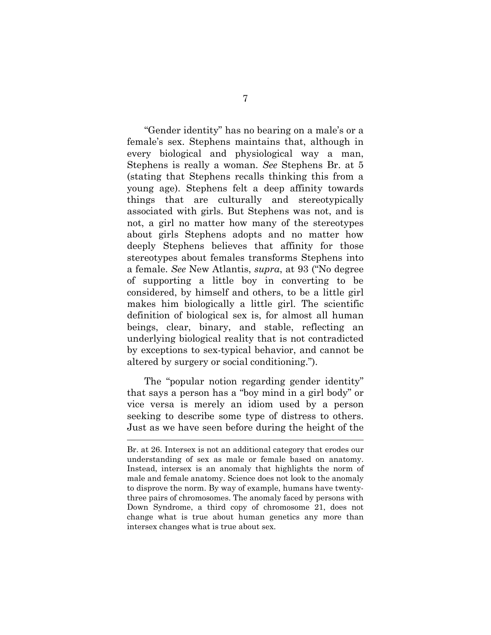"Gender identity" has no bearing on a male's or a female's sex. Stephens maintains that, although in every biological and physiological way a man, Stephens is really a woman. *See* Stephens Br. at 5 (stating that Stephens recalls thinking this from a young age). Stephens felt a deep affinity towards things that are culturally and stereotypically associated with girls. But Stephens was not, and is not, a girl no matter how many of the stereotypes about girls Stephens adopts and no matter how deeply Stephens believes that affinity for those stereotypes about females transforms Stephens into a female. *See* New Atlantis, *supra*, at 93 ("No degree of supporting a little boy in converting to be considered, by himself and others, to be a little girl makes him biologically a little girl. The scientific definition of biological sex is, for almost all human beings, clear, binary, and stable, reflecting an underlying biological reality that is not contradicted by exceptions to sex-typical behavior, and cannot be altered by surgery or social conditioning.").

The "popular notion regarding gender identity" that says a person has a "boy mind in a girl body" or vice versa is merely an idiom used by a person seeking to describe some type of distress to others. Just as we have seen before during the height of the

Br. at 26. Intersex is not an additional category that erodes our understanding of sex as male or female based on anatomy. Instead, intersex is an anomaly that highlights the norm of male and female anatomy. Science does not look to the anomaly to disprove the norm. By way of example, humans have twentythree pairs of chromosomes. The anomaly faced by persons with Down Syndrome, a third copy of chromosome 21, does not change what is true about human genetics any more than intersex changes what is true about sex.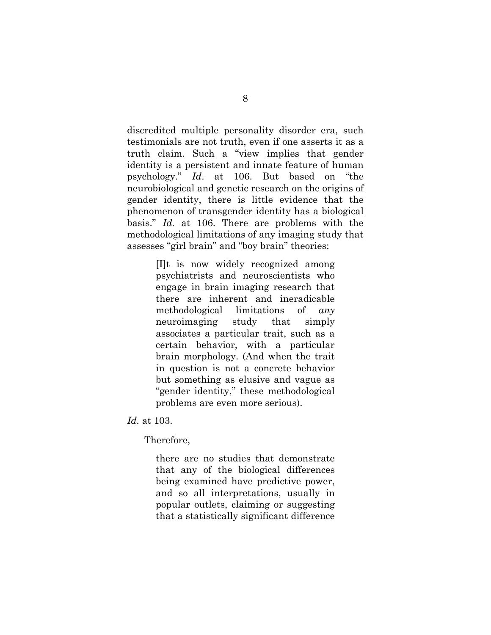discredited multiple personality disorder era, such testimonials are not truth, even if one asserts it as a truth claim. Such a "view implies that gender identity is a persistent and innate feature of human psychology." *Id*. at 106. But based on "the neurobiological and genetic research on the origins of gender identity, there is little evidence that the phenomenon of transgender identity has a biological basis." *Id.* at 106. There are problems with the methodological limitations of any imaging study that assesses "girl brain" and "boy brain" theories:

> [I]t is now widely recognized among psychiatrists and neuroscientists who engage in brain imaging research that there are inherent and ineradicable methodological limitations of *any* neuroimaging study that simply associates a particular trait, such as a certain behavior, with a particular brain morphology. (And when the trait in question is not a concrete behavior but something as elusive and vague as "gender identity," these methodological problems are even more serious).

*Id.* at 103.

Therefore,

there are no studies that demonstrate that any of the biological differences being examined have predictive power, and so all interpretations, usually in popular outlets, claiming or suggesting that a statistically significant difference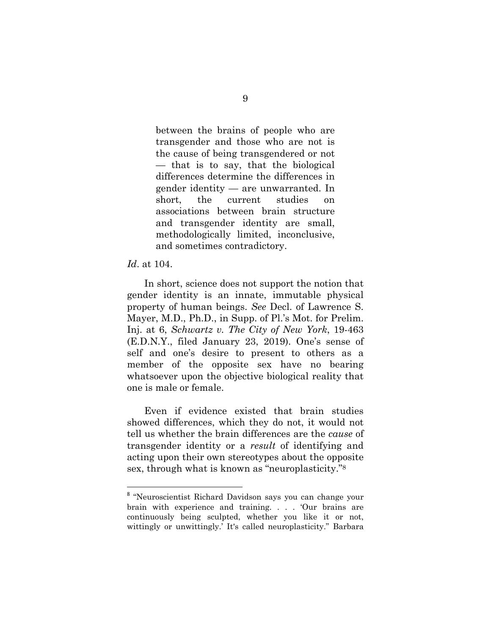between the brains of people who are transgender and those who are not is the cause of being transgendered or not — that is to say, that the biological differences determine the differences in gender identity — are unwarranted. In short, the current studies on associations between brain structure and transgender identity are small, methodologically limited, inconclusive, and sometimes contradictory.

*Id*. at 104.

In short, science does not support the notion that gender identity is an innate, immutable physical property of human beings. *See* Decl. of Lawrence S. Mayer, M.D., Ph.D., in Supp. of Pl.'s Mot. for Prelim. Inj. at 6, *Schwartz v. The City of New York*, 19-463 (E.D.N.Y., filed January 23, 2019). One's sense of self and one's desire to present to others as a member of the opposite sex have no bearing whatsoever upon the objective biological reality that one is male or female.

Even if evidence existed that brain studies showed differences, which they do not, it would not tell us whether the brain differences are the *cause* of transgender identity or a *result* of identifying and acting upon their own stereotypes about the opposite sex, through what is known as "neuroplasticity."8

<sup>&</sup>lt;sup>8</sup> "Neuroscientist Richard Davidson says you can change your brain with experience and training. . . . 'Our brains are continuously being sculpted, whether you like it or not, wittingly or unwittingly.' It's called neuroplasticity." Barbara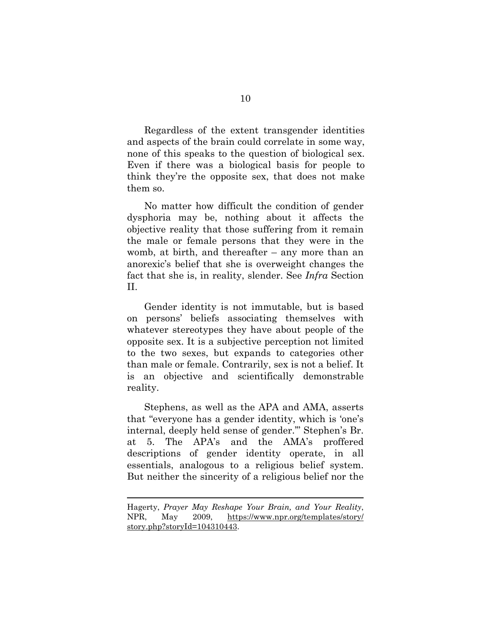Regardless of the extent transgender identities and aspects of the brain could correlate in some way, none of this speaks to the question of biological sex. Even if there was a biological basis for people to think they're the opposite sex, that does not make them so.

No matter how difficult the condition of gender dysphoria may be, nothing about it affects the objective reality that those suffering from it remain the male or female persons that they were in the womb, at birth, and thereafter – any more than an anorexic's belief that she is overweight changes the fact that she is, in reality, slender. See *Infra* Section II.

Gender identity is not immutable, but is based on persons' beliefs associating themselves with whatever stereotypes they have about people of the opposite sex. It is a subjective perception not limited to the two sexes, but expands to categories other than male or female. Contrarily, sex is not a belief. It is an objective and scientifically demonstrable reality.

Stephens, as well as the APA and AMA, asserts that "everyone has a gender identity, which is 'one's internal, deeply held sense of gender.'" Stephen's Br. at 5. The APA's and the AMA's proffered descriptions of gender identity operate, in all essentials, analogous to a religious belief system. But neither the sincerity of a religious belief nor the

<u> 1989 - Johann Stein, marwolaethau a bhann an t-Amhain Aonaichte ann an t-Amhain Aonaichte ann an t-Amhain Aon</u>

Hagerty, *Prayer May Reshape Your Brain, and Your Reality*, NPR, May 2009, https://www.npr.org/templates/story/ story.php?storyId=104310443.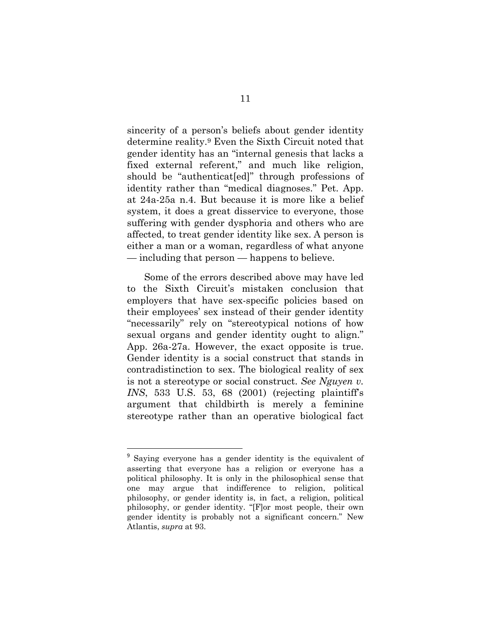sincerity of a person's beliefs about gender identity determine reality.9 Even the Sixth Circuit noted that gender identity has an "internal genesis that lacks a fixed external referent," and much like religion, should be "authenticat[ed]" through professions of identity rather than "medical diagnoses." Pet. App. at 24a-25a n.4. But because it is more like a belief system, it does a great disservice to everyone, those suffering with gender dysphoria and others who are affected, to treat gender identity like sex. A person is either a man or a woman, regardless of what anyone — including that person — happens to believe.

Some of the errors described above may have led to the Sixth Circuit's mistaken conclusion that employers that have sex-specific policies based on their employees' sex instead of their gender identity "necessarily" rely on "stereotypical notions of how sexual organs and gender identity ought to align." App. 26a-27a. However, the exact opposite is true. Gender identity is a social construct that stands in contradistinction to sex. The biological reality of sex is not a stereotype or social construct. *See Nguyen v. INS*, 533 U.S. 53, 68 (2001) (rejecting plaintiff's argument that childbirth is merely a feminine stereotype rather than an operative biological fact

<sup>&</sup>lt;sup>9</sup> Saying everyone has a gender identity is the equivalent of asserting that everyone has a religion or everyone has a political philosophy. It is only in the philosophical sense that one may argue that indifference to religion, political philosophy, or gender identity is, in fact, a religion, political philosophy, or gender identity. "[F]or most people, their own gender identity is probably not a significant concern." New Atlantis, *supra* at 93.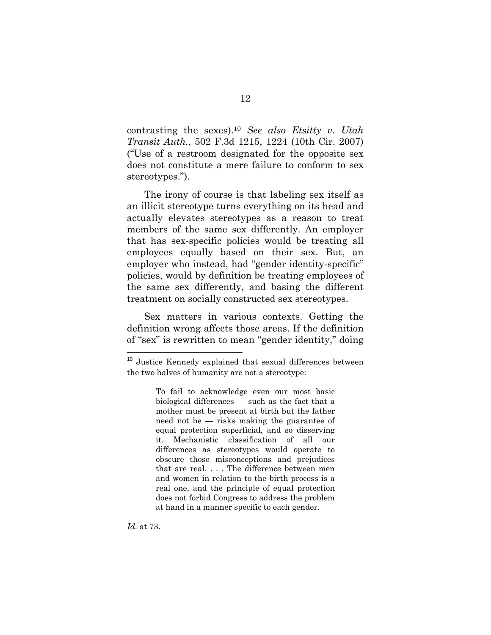contrasting the sexes).10 *See also Etsitty v. Utah Transit Auth.*, 502 F.3d 1215, 1224 (10th Cir. 2007) ("Use of a restroom designated for the opposite sex does not constitute a mere failure to conform to sex stereotypes.").

The irony of course is that labeling sex itself as an illicit stereotype turns everything on its head and actually elevates stereotypes as a reason to treat members of the same sex differently. An employer that has sex-specific policies would be treating all employees equally based on their sex. But, an employer who instead, had "gender identity-specific" policies, would by definition be treating employees of the same sex differently, and basing the different treatment on socially constructed sex stereotypes.

Sex matters in various contexts. Getting the definition wrong affects those areas. If the definition of "sex" is rewritten to mean "gender identity," doing

<sup>&</sup>lt;sup>10</sup> Justice Kennedy explained that sexual differences between the two halves of humanity are not a stereotype:

To fail to acknowledge even our most basic biological differences — such as the fact that a mother must be present at birth but the father need not be — risks making the guarantee of equal protection superficial, and so disserving it. Mechanistic classification of all our differences as stereotypes would operate to obscure those misconceptions and prejudices that are real. . . . The difference between men and women in relation to the birth process is a real one, and the principle of equal protection does not forbid Congress to address the problem at hand in a manner specific to each gender.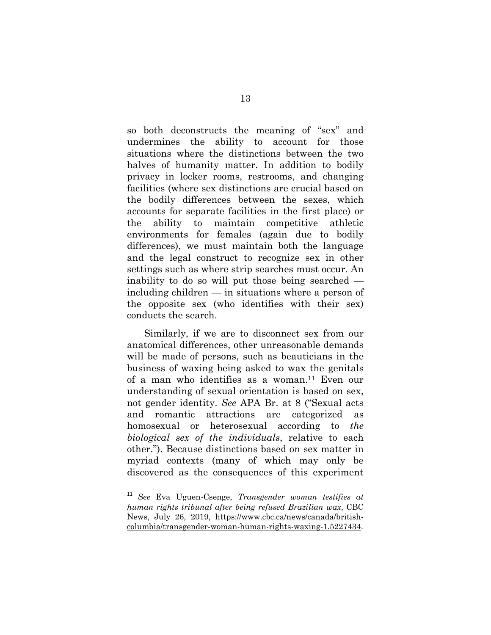so both deconstructs the meaning of "sex" and undermines the ability to account for those situations where the distinctions between the two halves of humanity matter. In addition to bodily privacy in locker rooms, restrooms, and changing facilities (where sex distinctions are crucial based on the bodily differences between the sexes, which accounts for separate facilities in the first place) or the ability to maintain competitive athletic environments for females (again due to bodily differences), we must maintain both the language and the legal construct to recognize sex in other settings such as where strip searches must occur. An inability to do so will put those being searched including children — in situations where a person of the opposite sex (who identifies with their sex) conducts the search.

Similarly, if we are to disconnect sex from our anatomical differences, other unreasonable demands will be made of persons, such as beauticians in the business of waxing being asked to wax the genitals of a man who identifies as a woman.11 Even our understanding of sexual orientation is based on sex, not gender identity. *See* APA Br. at 8 ("Sexual acts and romantic attractions are categorized as homosexual or heterosexual according to *the biological sex of the individuals*, relative to each other."). Because distinctions based on sex matter in myriad contexts (many of which may only be discovered as the consequences of this experiment

<sup>11</sup> *See* Eva Uguen-Csenge, *Transgender woman testifies at human rights tribunal after being refused Brazilian wax*, CBC News, July 26, 2019, https://www.cbc.ca/news/canada/britishcolumbia/transgender-woman-human-rights-waxing-1.5227434.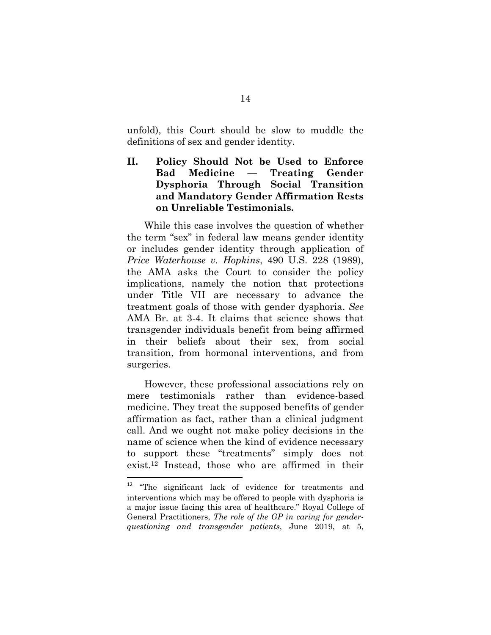unfold), this Court should be slow to muddle the definitions of sex and gender identity.

### **II. Policy Should Not be Used to Enforce Bad Medicine — Treating Gender Dysphoria Through Social Transition and Mandatory Gender Affirmation Rests on Unreliable Testimonials.**

While this case involves the question of whether the term "sex" in federal law means gender identity or includes gender identity through application of *Price Waterhouse v. Hopkins*, 490 U.S. 228 (1989), the AMA asks the Court to consider the policy implications, namely the notion that protections under Title VII are necessary to advance the treatment goals of those with gender dysphoria. *See*  AMA Br. at 3-4. It claims that science shows that transgender individuals benefit from being affirmed in their beliefs about their sex, from social transition, from hormonal interventions, and from surgeries.

However, these professional associations rely on mere testimonials rather than evidence-based medicine. They treat the supposed benefits of gender affirmation as fact, rather than a clinical judgment call. And we ought not make policy decisions in the name of science when the kind of evidence necessary to support these "treatments" simply does not exist.12 Instead, those who are affirmed in their

<sup>&</sup>lt;sup>12</sup> "The significant lack of evidence for treatments and interventions which may be offered to people with dysphoria is a major issue facing this area of healthcare." Royal College of General Practitioners, *The role of the GP in caring for genderquestioning and transgender patients*, June 2019, at 5,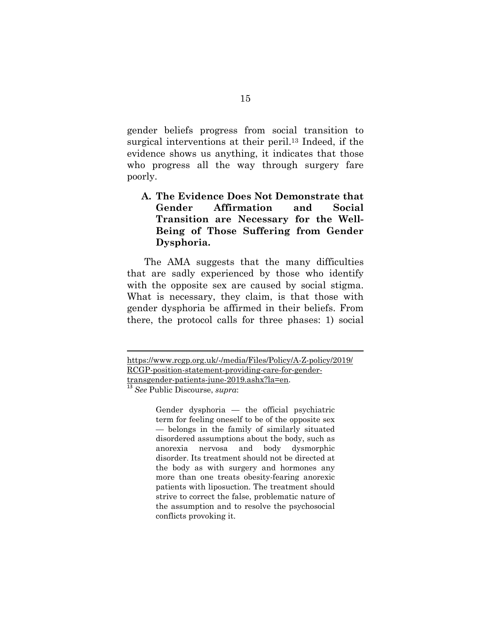gender beliefs progress from social transition to surgical interventions at their peril.<sup>13</sup> Indeed, if the evidence shows us anything, it indicates that those who progress all the way through surgery fare poorly.

### **A. The Evidence Does Not Demonstrate that Gender Affirmation and Social Transition are Necessary for the Well-Being of Those Suffering from Gender Dysphoria.**

The AMA suggests that the many difficulties that are sadly experienced by those who identify with the opposite sex are caused by social stigma. What is necessary, they claim, is that those with gender dysphoria be affirmed in their beliefs. From there, the protocol calls for three phases: 1) social

<u> 1989 - Johann Stein, marwolaethau a bhann an t-Amhain Aonaichte ann an t-Amhain Aonaichte ann an t-Amhain Aon</u>

<sup>13</sup> *See* Public Discourse, *supra*:

Gender dysphoria — the official psychiatric term for feeling oneself to be of the opposite sex — belongs in the family of similarly situated disordered assumptions about the body, such as anorexia nervosa and body dysmorphic disorder. Its treatment should not be directed at the body as with surgery and hormones any more than one treats obesity-fearing anorexic patients with liposuction. The treatment should strive to correct the false, problematic nature of the assumption and to resolve the psychosocial conflicts provoking it.

https://www.rcgp.org.uk/-/media/Files/Policy/A-Z-policy/2019/ RCGP-position-statement-providing-care-for-gendertransgender-patients-june-2019.ashx?la=en.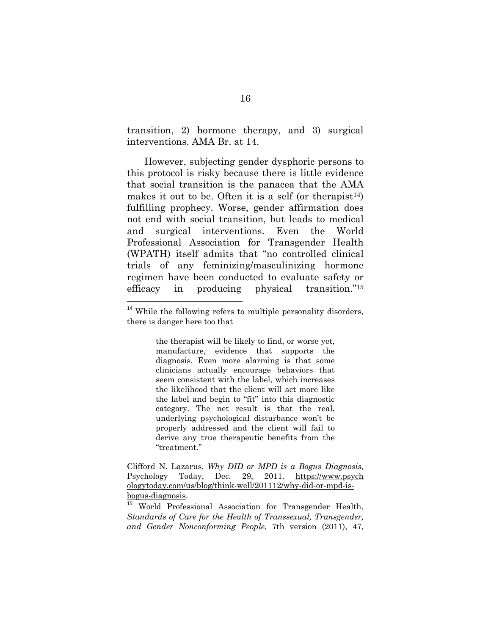transition, 2) hormone therapy, and 3) surgical interventions. AMA Br. at 14.

However, subjecting gender dysphoric persons to this protocol is risky because there is little evidence that social transition is the panacea that the AMA makes it out to be. Often it is a self (or therapist<sup>14</sup>) fulfilling prophecy. Worse, gender affirmation does not end with social transition, but leads to medical and surgical interventions. Even the World Professional Association for Transgender Health (WPATH) itself admits that "no controlled clinical trials of any feminizing/masculinizing hormone regimen have been conducted to evaluate safety or efficacy in producing physical transition."15

the therapist will be likely to find, or worse yet, manufacture, evidence that supports the diagnosis. Even more alarming is that some clinicians actually encourage behaviors that seem consistent with the label, which increases the likelihood that the client will act more like the label and begin to "fit" into this diagnostic category. The net result is that the real, underlying psychological disturbance won't be properly addressed and the client will fail to derive any true therapeutic benefits from the "treatment."

Clifford N. Lazarus, *Why DID or MPD is a Bogus Diagnosis*, Psychology Today, Dec. 29, 2011. https://www.psych ologytoday.com/us/blog/think-well/201112/why-did-or-mpd-isbogus-diagnosis.

<sup>15</sup> World Professional Association for Transgender Health, *Standards of Care for the Health of Transsexual, Transgender, and Gender Nonconforming People*, 7th version (2011), 47,

<sup>&</sup>lt;sup>14</sup> While the following refers to multiple personality disorders, there is danger here too that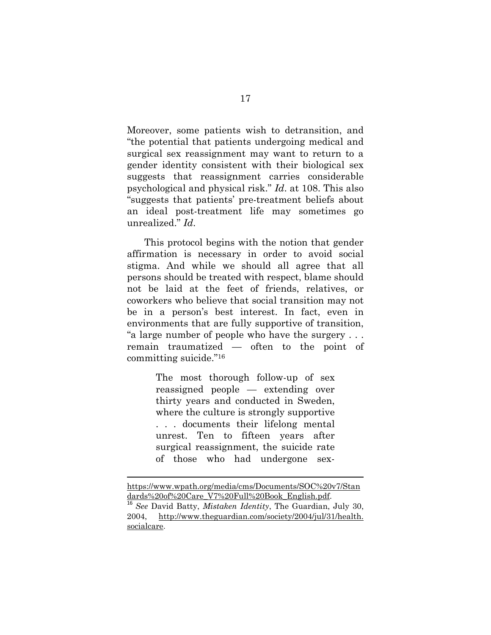Moreover, some patients wish to detransition, and "the potential that patients undergoing medical and surgical sex reassignment may want to return to a gender identity consistent with their biological sex suggests that reassignment carries considerable psychological and physical risk." *Id*. at 108. This also "suggests that patients' pre-treatment beliefs about an ideal post-treatment life may sometimes go unrealized." *Id*.

This protocol begins with the notion that gender affirmation is necessary in order to avoid social stigma. And while we should all agree that all persons should be treated with respect, blame should not be laid at the feet of friends, relatives, or coworkers who believe that social transition may not be in a person's best interest. In fact, even in environments that are fully supportive of transition, "a large number of people who have the surgery . . . remain traumatized — often to the point of committing suicide."16

> The most thorough follow-up of sex reassigned people — extending over thirty years and conducted in Sweden, where the culture is strongly supportive . . . documents their lifelong mental unrest. Ten to fifteen years after surgical reassignment, the suicide rate of those who had undergone sex-

https://www.wpath.org/media/cms/Documents/SOC%20v7/Stan dards%20of%20Care\_V7%20Full%20Book\_English.pdf. <sup>16</sup> *See* David Batty, *Mistaken Identity*, The Guardian, July 30, 2004, http://www.theguardian.com/society/2004/jul/31/health. socialcare.

<u> 1989 - Johann Stein, marwolaethau a bhann an t-Amhain Aonaichte ann an t-Amhain Aonaichte ann an t-Amhain Aon</u>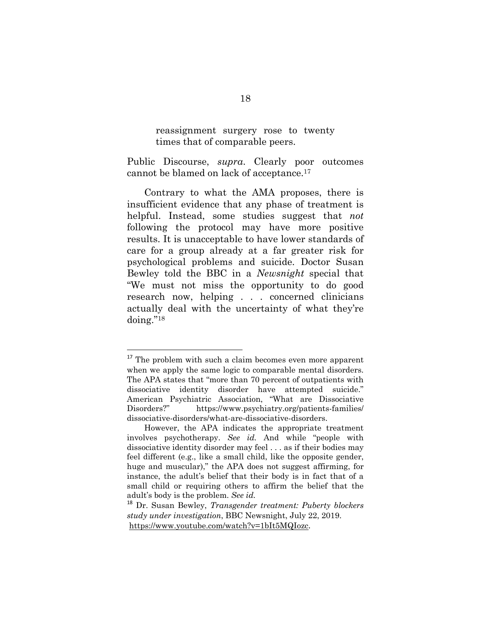reassignment surgery rose to twenty times that of comparable peers.

Public Discourse, *supra*. Clearly poor outcomes cannot be blamed on lack of acceptance.17

Contrary to what the AMA proposes, there is insufficient evidence that any phase of treatment is helpful. Instead, some studies suggest that *not*  following the protocol may have more positive results. It is unacceptable to have lower standards of care for a group already at a far greater risk for psychological problems and suicide. Doctor Susan Bewley told the BBC in a *Newsnight* special that "We must not miss the opportunity to do good research now, helping . . . concerned clinicians actually deal with the uncertainty of what they're doing."18

<sup>&</sup>lt;sup>17</sup> The problem with such a claim becomes even more apparent when we apply the same logic to comparable mental disorders. The APA states that "more than 70 percent of outpatients with dissociative identity disorder have attempted suicide." American Psychiatric Association, "What are Dissociative Disorders?" https://www.psychiatry.org/patients-families/ dissociative-disorders/what-are-dissociative-disorders.

However, the APA indicates the appropriate treatment involves psychotherapy. *See id.* And while "people with dissociative identity disorder may feel . . . as if their bodies may feel different (e.g., like a small child, like the opposite gender, huge and muscular)," the APA does not suggest affirming, for instance, the adult's belief that their body is in fact that of a small child or requiring others to affirm the belief that the adult's body is the problem. *See id.*

<sup>18</sup> Dr. Susan Bewley, *Transgender treatment: Puberty blockers study under investigation*, BBC Newsnight, July 22, 2019. https://www.youtube.com/watch?v=1bIt5MQIozc.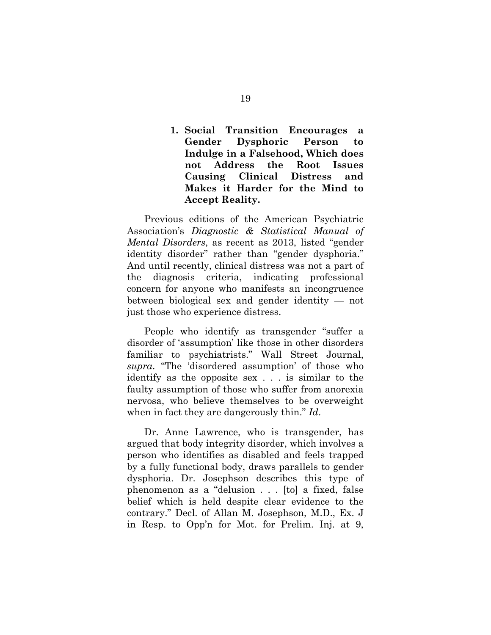**1. Social Transition Encourages a Gender Dysphoric Person to Indulge in a Falsehood, Which does not Address the Root Issues Causing Clinical Distress and Makes it Harder for the Mind to Accept Reality.** 

Previous editions of the American Psychiatric Association's *Diagnostic & Statistical Manual of Mental Disorders*, as recent as 2013, listed "gender identity disorder" rather than "gender dysphoria." And until recently, clinical distress was not a part of the diagnosis criteria, indicating professional concern for anyone who manifests an incongruence between biological sex and gender identity — not just those who experience distress.

People who identify as transgender "suffer a disorder of 'assumption' like those in other disorders familiar to psychiatrists." Wall Street Journal, *supra*. "The 'disordered assumption' of those who identify as the opposite sex . . . is similar to the faulty assumption of those who suffer from anorexia nervosa, who believe themselves to be overweight when in fact they are dangerously thin." *Id*.

Dr. Anne Lawrence, who is transgender, has argued that body integrity disorder, which involves a person who identifies as disabled and feels trapped by a fully functional body, draws parallels to gender dysphoria. Dr. Josephson describes this type of phenomenon as a "delusion . . . [to] a fixed, false belief which is held despite clear evidence to the contrary." Decl. of Allan M. Josephson, M.D., Ex. J in Resp. to Opp'n for Mot. for Prelim. Inj. at 9,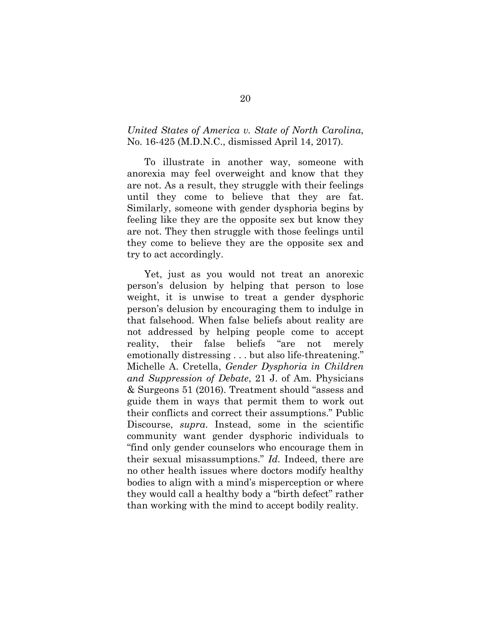#### *United States of America v. State of North Carolina*, No. 16-425 (M.D.N.C., dismissed April 14, 2017).

To illustrate in another way, someone with anorexia may feel overweight and know that they are not. As a result, they struggle with their feelings until they come to believe that they are fat. Similarly, someone with gender dysphoria begins by feeling like they are the opposite sex but know they are not. They then struggle with those feelings until they come to believe they are the opposite sex and try to act accordingly.

Yet, just as you would not treat an anorexic person's delusion by helping that person to lose weight, it is unwise to treat a gender dysphoric person's delusion by encouraging them to indulge in that falsehood. When false beliefs about reality are not addressed by helping people come to accept reality, their false beliefs "are not merely emotionally distressing . . . but also life-threatening." Michelle A. Cretella, *Gender Dysphoria in Children and Suppression of Debate*, 21 J. of Am. Physicians & Surgeons 51 (2016). Treatment should "assess and guide them in ways that permit them to work out their conflicts and correct their assumptions." Public Discourse, *supra*. Instead, some in the scientific community want gender dysphoric individuals to "find only gender counselors who encourage them in their sexual misassumptions." *Id.* Indeed, there are no other health issues where doctors modify healthy bodies to align with a mind's misperception or where they would call a healthy body a "birth defect" rather than working with the mind to accept bodily reality.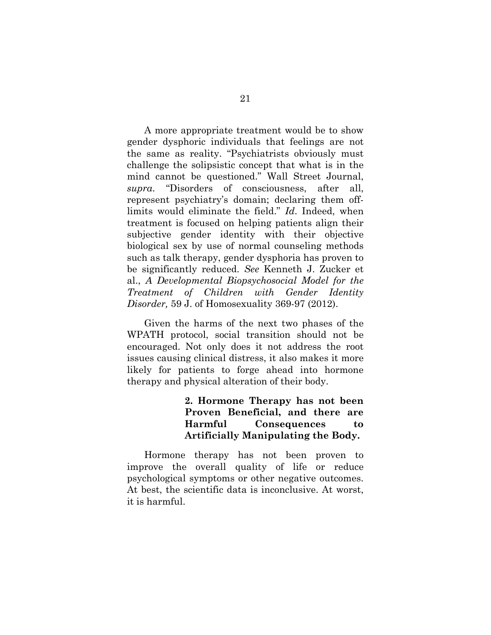A more appropriate treatment would be to show gender dysphoric individuals that feelings are not the same as reality. "Psychiatrists obviously must challenge the solipsistic concept that what is in the mind cannot be questioned." Wall Street Journal, *supra*. "Disorders of consciousness, after all, represent psychiatry's domain; declaring them offlimits would eliminate the field." *Id*. Indeed, when treatment is focused on helping patients align their subjective gender identity with their objective biological sex by use of normal counseling methods such as talk therapy, gender dysphoria has proven to be significantly reduced. *See* Kenneth J. Zucker et al., *A Developmental Biopsychosocial Model for the Treatment of Children with Gender Identity Disorder,* 59 J. of Homosexuality 369-97 (2012).

Given the harms of the next two phases of the WPATH protocol, social transition should not be encouraged. Not only does it not address the root issues causing clinical distress, it also makes it more likely for patients to forge ahead into hormone therapy and physical alteration of their body.

> **2. Hormone Therapy has not been Proven Beneficial, and there are Harmful Consequences to Artificially Manipulating the Body.**

Hormone therapy has not been proven to improve the overall quality of life or reduce psychological symptoms or other negative outcomes. At best, the scientific data is inconclusive. At worst, it is harmful.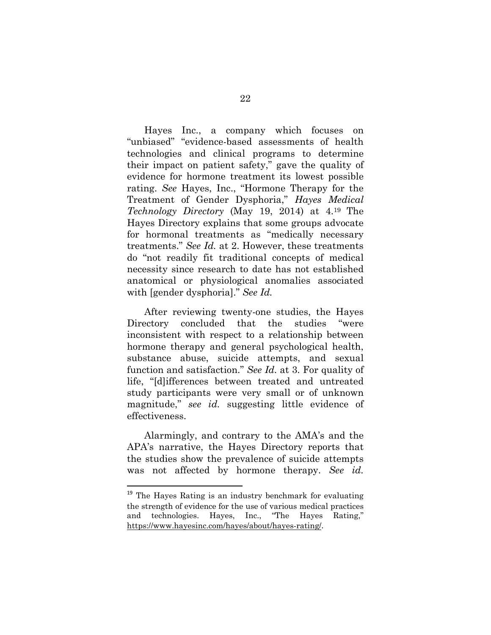Hayes Inc., a company which focuses on "unbiased" "evidence-based assessments of health technologies and clinical programs to determine their impact on patient safety," gave the quality of evidence for hormone treatment its lowest possible rating. *See* Hayes, Inc., "Hormone Therapy for the Treatment of Gender Dysphoria," *Hayes Medical Technology Directory* (May 19, 2014) at 4.19 The Hayes Directory explains that some groups advocate for hormonal treatments as "medically necessary treatments." *See Id.* at 2. However, these treatments do "not readily fit traditional concepts of medical necessity since research to date has not established anatomical or physiological anomalies associated with [gender dysphoria]." *See Id.*

After reviewing twenty-one studies, the Hayes Directory concluded that the studies "were inconsistent with respect to a relationship between hormone therapy and general psychological health, substance abuse, suicide attempts, and sexual function and satisfaction." *See Id.* at 3. For quality of life, "[d]ifferences between treated and untreated study participants were very small or of unknown magnitude," *see id.* suggesting little evidence of effectiveness.

Alarmingly, and contrary to the AMA's and the APA's narrative, the Hayes Directory reports that the studies show the prevalence of suicide attempts was not affected by hormone therapy. *See id.*

 $19$  The Hayes Rating is an industry benchmark for evaluating the strength of evidence for the use of various medical practices and technologies. Hayes, Inc., "The Hayes Rating," https://www.hayesinc.com/hayes/about/hayes-rating/.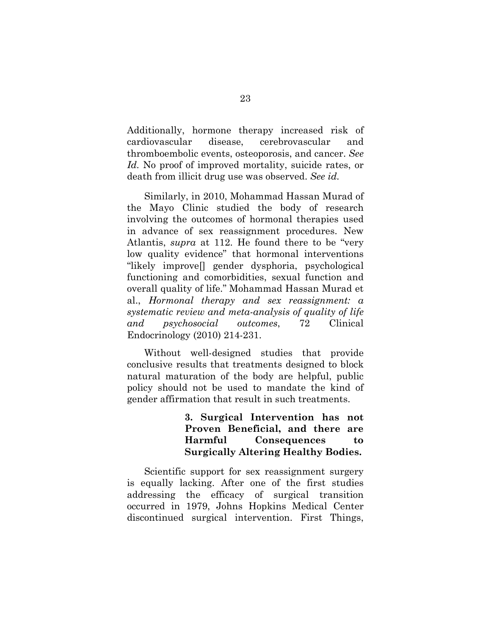Additionally, hormone therapy increased risk of cardiovascular disease, cerebrovascular and thromboembolic events, osteoporosis, and cancer. *See Id.* No proof of improved mortality, suicide rates, or death from illicit drug use was observed. *See id.*

Similarly, in 2010, Mohammad Hassan Murad of the Mayo Clinic studied the body of research involving the outcomes of hormonal therapies used in advance of sex reassignment procedures. New Atlantis, *supra* at 112. He found there to be "very low quality evidence" that hormonal interventions "likely improve[] gender dysphoria, psychological functioning and comorbidities, sexual function and overall quality of life." Mohammad Hassan Murad et al., *Hormonal therapy and sex reassignment: a systematic review and meta-analysis of quality of life and psychosocial outcomes*, 72 Clinical Endocrinology (2010) 214-231.

Without well-designed studies that provide conclusive results that treatments designed to block natural maturation of the body are helpful, public policy should not be used to mandate the kind of gender affirmation that result in such treatments.

> **3. Surgical Intervention has not Proven Beneficial, and there are Harmful Consequences to Surgically Altering Healthy Bodies.**

Scientific support for sex reassignment surgery is equally lacking. After one of the first studies addressing the efficacy of surgical transition occurred in 1979, Johns Hopkins Medical Center discontinued surgical intervention. First Things,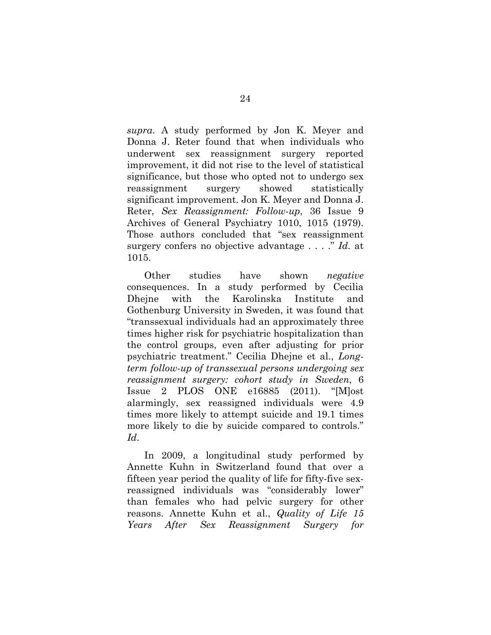*supra*. A study performed by Jon K. Meyer and Donna J. Reter found that when individuals who underwent sex reassignment surgery reported improvement, it did not rise to the level of statistical significance, but those who opted not to undergo sex reassignment surgery showed statistically significant improvement. Jon K. Meyer and Donna J. Reter, *Sex Reassignment: Follow-up*, 36 Issue 9 Archives of General Psychiatry 1010, 1015 (1979). Those authors concluded that "sex reassignment surgery confers no objective advantage . . . ." *Id.* at 1015.

Other studies have shown *negative*  consequences. In a study performed by Cecilia Dhejne with the Karolinska Institute and Gothenburg University in Sweden, it was found that "transsexual individuals had an approximately three times higher risk for psychiatric hospitalization than the control groups, even after adjusting for prior psychiatric treatment." Cecilia Dhejne et al., *Longterm follow-up of transsexual persons undergoing sex reassignment surgery: cohort study in Sweden*, 6 Issue 2 PLOS ONE e16885 (2011). "[M]ost alarmingly, sex reassigned individuals were 4.9 times more likely to attempt suicide and 19.1 times more likely to die by suicide compared to controls." *Id*.

In 2009, a longitudinal study performed by Annette Kuhn in Switzerland found that over a fifteen year period the quality of life for fifty-five sexreassigned individuals was "considerably lower" than females who had pelvic surgery for other reasons. Annette Kuhn et al., *Quality of Life 15 Years After Sex Reassignment Surgery for*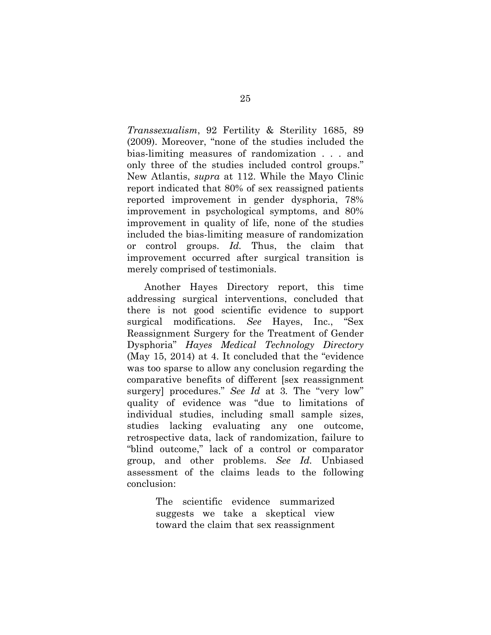*Transsexualism*, 92 Fertility & Sterility 1685, 89 (2009). Moreover, "none of the studies included the bias-limiting measures of randomization . . . and only three of the studies included control groups." New Atlantis, *supra* at 112. While the Mayo Clinic report indicated that 80% of sex reassigned patients reported improvement in gender dysphoria, 78% improvement in psychological symptoms, and 80% improvement in quality of life, none of the studies included the bias-limiting measure of randomization or control groups. *Id.* Thus, the claim that improvement occurred after surgical transition is merely comprised of testimonials.

Another Hayes Directory report, this time addressing surgical interventions, concluded that there is not good scientific evidence to support surgical modifications. *See* Hayes, Inc., "Sex Reassignment Surgery for the Treatment of Gender Dysphoria" *Hayes Medical Technology Directory* (May 15, 2014) at 4. It concluded that the "evidence was too sparse to allow any conclusion regarding the comparative benefits of different [sex reassignment surgery] procedures." *See Id* at 3*.* The "very low" quality of evidence was "due to limitations of individual studies, including small sample sizes, studies lacking evaluating any one outcome, retrospective data, lack of randomization, failure to "blind outcome," lack of a control or comparator group, and other problems. *See Id.* Unbiased assessment of the claims leads to the following conclusion:

> The scientific evidence summarized suggests we take a skeptical view toward the claim that sex reassignment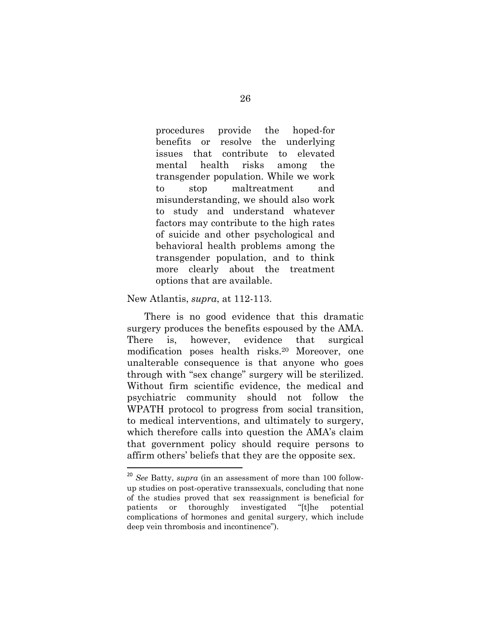procedures provide the hoped-for benefits or resolve the underlying issues that contribute to elevated mental health risks among the transgender population. While we work to stop maltreatment and misunderstanding, we should also work to study and understand whatever factors may contribute to the high rates of suicide and other psychological and behavioral health problems among the transgender population, and to think more clearly about the treatment options that are available.

#### New Atlantis, *supra*, at 112-113.

There is no good evidence that this dramatic surgery produces the benefits espoused by the AMA. There is, however, evidence that surgical modification poses health risks.20 Moreover, one unalterable consequence is that anyone who goes through with "sex change" surgery will be sterilized. Without firm scientific evidence, the medical and psychiatric community should not follow the WPATH protocol to progress from social transition, to medical interventions, and ultimately to surgery, which therefore calls into question the AMA's claim that government policy should require persons to affirm others' beliefs that they are the opposite sex.

<sup>20</sup> *See* Batty, *supra* (in an assessment of more than 100 followup studies on post-operative transsexuals, concluding that none of the studies proved that sex reassignment is beneficial for patients or thoroughly investigated "[t]he potential complications of hormones and genital surgery, which include deep vein thrombosis and incontinence").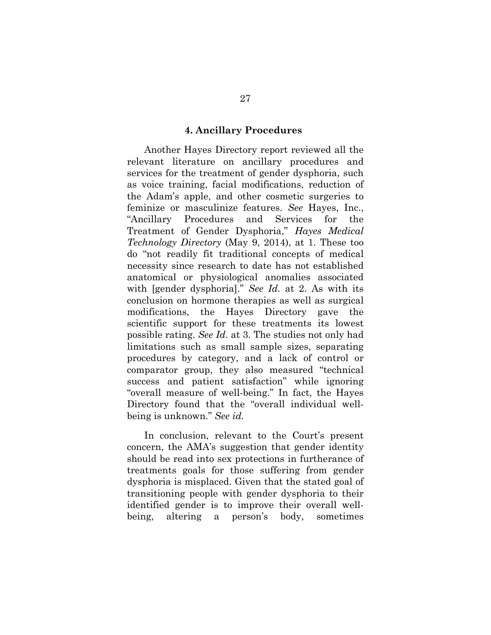#### **4. Ancillary Procedures**

Another Hayes Directory report reviewed all the relevant literature on ancillary procedures and services for the treatment of gender dysphoria, such as voice training, facial modifications, reduction of the Adam's apple, and other cosmetic surgeries to feminize or masculinize features. *See* Hayes, Inc., "Ancillary Procedures and Services for the Treatment of Gender Dysphoria," *Hayes Medical Technology Directory* (May 9, 2014), at 1. These too do "not readily fit traditional concepts of medical necessity since research to date has not established anatomical or physiological anomalies associated with [gender dysphoria]." *See Id.* at 2. As with its conclusion on hormone therapies as well as surgical modifications, the Hayes Directory gave the scientific support for these treatments its lowest possible rating. *See Id.* at 3. The studies not only had limitations such as small sample sizes, separating procedures by category, and a lack of control or comparator group, they also measured "technical success and patient satisfaction" while ignoring "overall measure of well-being." In fact, the Hayes Directory found that the "overall individual wellbeing is unknown." *See id.*

In conclusion, relevant to the Court's present concern, the AMA's suggestion that gender identity should be read into sex protections in furtherance of treatments goals for those suffering from gender dysphoria is misplaced. Given that the stated goal of transitioning people with gender dysphoria to their identified gender is to improve their overall wellbeing, altering a person's body, sometimes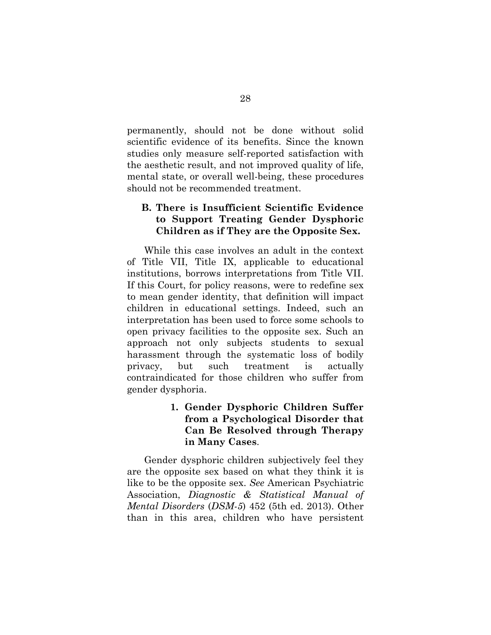permanently, should not be done without solid scientific evidence of its benefits. Since the known studies only measure self-reported satisfaction with the aesthetic result, and not improved quality of life, mental state, or overall well-being, these procedures should not be recommended treatment.

### **B. There is Insufficient Scientific Evidence to Support Treating Gender Dysphoric Children as if They are the Opposite Sex.**

While this case involves an adult in the context of Title VII, Title IX, applicable to educational institutions, borrows interpretations from Title VII. If this Court, for policy reasons, were to redefine sex to mean gender identity, that definition will impact children in educational settings. Indeed, such an interpretation has been used to force some schools to open privacy facilities to the opposite sex. Such an approach not only subjects students to sexual harassment through the systematic loss of bodily privacy, but such treatment is actually contraindicated for those children who suffer from gender dysphoria.

### **1. Gender Dysphoric Children Suffer from a Psychological Disorder that Can Be Resolved through Therapy in Many Cases**.

Gender dysphoric children subjectively feel they are the opposite sex based on what they think it is like to be the opposite sex. *See* American Psychiatric Association, *Diagnostic & Statistical Manual of Mental Disorders* (*DSM-5*) 452 (5th ed. 2013). Other than in this area, children who have persistent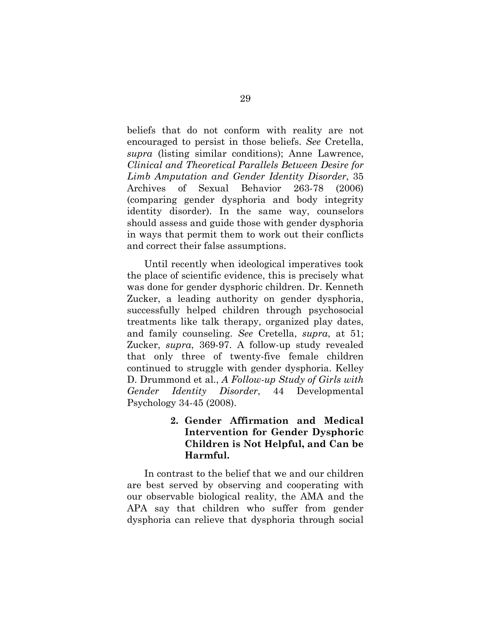beliefs that do not conform with reality are not encouraged to persist in those beliefs. *See* Cretella, *supra* (listing similar conditions); Anne Lawrence, *Clinical and Theoretical Parallels Between Desire for Limb Amputation and Gender Identity Disorder*, 35 Archives of Sexual Behavior 263-78 (2006) (comparing gender dysphoria and body integrity identity disorder). In the same way, counselors should assess and guide those with gender dysphoria in ways that permit them to work out their conflicts and correct their false assumptions.

Until recently when ideological imperatives took the place of scientific evidence, this is precisely what was done for gender dysphoric children. Dr. Kenneth Zucker, a leading authority on gender dysphoria, successfully helped children through psychosocial treatments like talk therapy, organized play dates, and family counseling. *See* Cretella, *supra*, at 51; Zucker, *supra*, 369-97. A follow-up study revealed that only three of twenty-five female children continued to struggle with gender dysphoria. Kelley D. Drummond et al., *A Follow-up Study of Girls with Gender Identity Disorder*, 44 Developmental Psychology 34-45 (2008).

### **2. Gender Affirmation and Medical Intervention for Gender Dysphoric Children is Not Helpful, and Can be Harmful.**

In contrast to the belief that we and our children are best served by observing and cooperating with our observable biological reality, the AMA and the APA say that children who suffer from gender dysphoria can relieve that dysphoria through social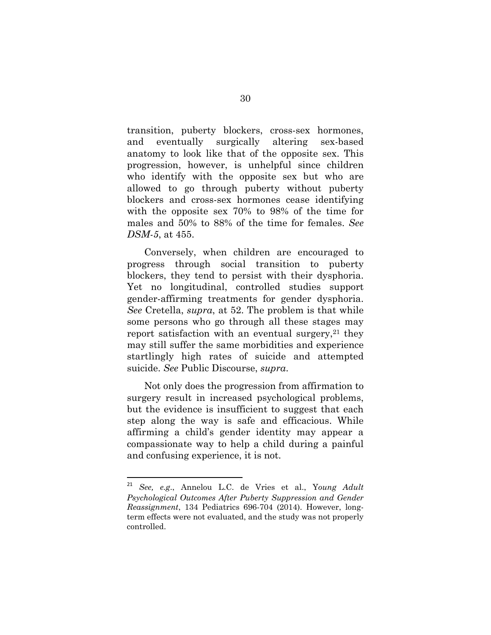transition, puberty blockers, cross-sex hormones, and eventually surgically altering sex-based anatomy to look like that of the opposite sex. This progression, however, is unhelpful since children who identify with the opposite sex but who are allowed to go through puberty without puberty blockers and cross-sex hormones cease identifying with the opposite sex 70% to 98% of the time for males and 50% to 88% of the time for females. *See DSM-5*, at 455.

Conversely, when children are encouraged to progress through social transition to puberty blockers, they tend to persist with their dysphoria. Yet no longitudinal, controlled studies support gender-affirming treatments for gender dysphoria. *See* Cretella, *supra*, at 52. The problem is that while some persons who go through all these stages may report satisfaction with an eventual surgery,<sup>21</sup> they may still suffer the same morbidities and experience startlingly high rates of suicide and attempted suicide. *See* Public Discourse, *supra*.

Not only does the progression from affirmation to surgery result in increased psychological problems, but the evidence is insufficient to suggest that each step along the way is safe and efficacious. While affirming a child's gender identity may appear a compassionate way to help a child during a painful and confusing experience, it is not.

<sup>21</sup> *See, e.g*., Annelou L.C. de Vries et al., Y*oung Adult Psychological Outcomes After Puberty Suppression and Gender Reassignment*, 134 Pediatrics 696-704 (2014). However, longterm effects were not evaluated, and the study was not properly controlled.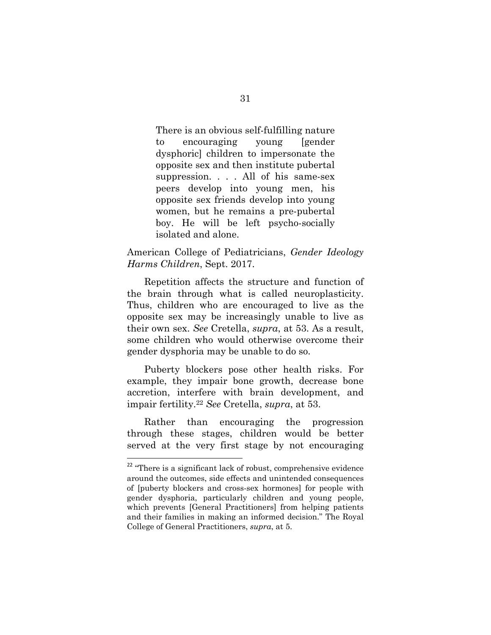There is an obvious self-fulfilling nature to encouraging young [gender dysphoric] children to impersonate the opposite sex and then institute pubertal suppression. . . . All of his same-sex peers develop into young men, his opposite sex friends develop into young women, but he remains a pre-pubertal boy. He will be left psycho-socially isolated and alone.

### American College of Pediatricians, *Gender Ideology Harms Children*, Sept. 2017.

Repetition affects the structure and function of the brain through what is called neuroplasticity. Thus, children who are encouraged to live as the opposite sex may be increasingly unable to live as their own sex. *See* Cretella, *supra*, at 53. As a result, some children who would otherwise overcome their gender dysphoria may be unable to do so.

Puberty blockers pose other health risks. For example, they impair bone growth, decrease bone accretion, interfere with brain development, and impair fertility.22 *See* Cretella, *supra*, at 53.

Rather than encouraging the progression through these stages, children would be better served at the very first stage by not encouraging

<sup>&</sup>lt;sup>22</sup> "There is a significant lack of robust, comprehensive evidence around the outcomes, side effects and unintended consequences of [puberty blockers and cross-sex hormones] for people with gender dysphoria, particularly children and young people, which prevents [General Practitioners] from helping patients and their families in making an informed decision." The Royal College of General Practitioners, *supra*, at 5.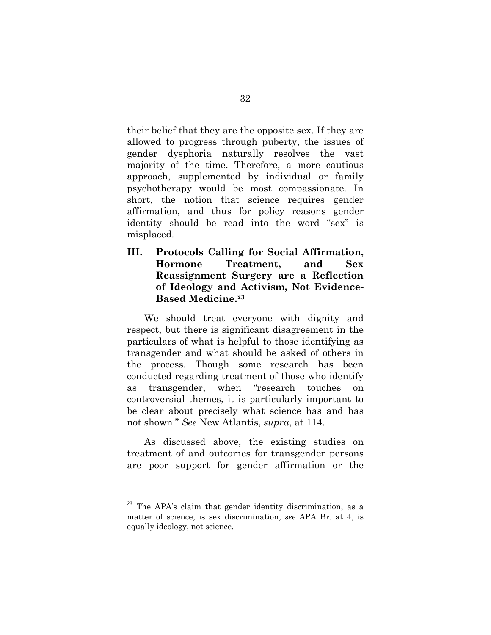their belief that they are the opposite sex. If they are allowed to progress through puberty, the issues of gender dysphoria naturally resolves the vast majority of the time. Therefore, a more cautious approach, supplemented by individual or family psychotherapy would be most compassionate. In short, the notion that science requires gender affirmation, and thus for policy reasons gender identity should be read into the word "sex" is misplaced.

**III. Protocols Calling for Social Affirmation, Hormone Treatment, and Sex Reassignment Surgery are a Reflection of Ideology and Activism, Not Evidence-Based Medicine.23**

We should treat everyone with dignity and respect, but there is significant disagreement in the particulars of what is helpful to those identifying as transgender and what should be asked of others in the process. Though some research has been conducted regarding treatment of those who identify as transgender, when "research touches on controversial themes, it is particularly important to be clear about precisely what science has and has not shown." *See* New Atlantis, *supra*, at 114.

As discussed above, the existing studies on treatment of and outcomes for transgender persons are poor support for gender affirmation or the

<sup>&</sup>lt;sup>23</sup> The APA's claim that gender identity discrimination, as a matter of science, is sex discrimination, *see* APA Br. at 4, is equally ideology, not science.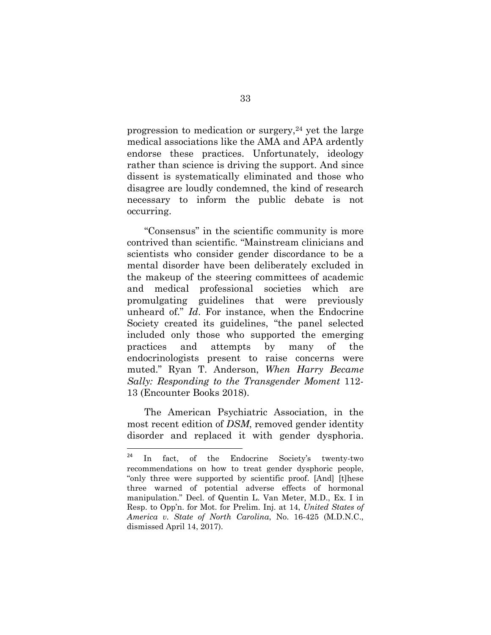progression to medication or surgery,  $24$  yet the large medical associations like the AMA and APA ardently endorse these practices. Unfortunately, ideology rather than science is driving the support. And since dissent is systematically eliminated and those who disagree are loudly condemned, the kind of research necessary to inform the public debate is not occurring.

"Consensus" in the scientific community is more contrived than scientific. "Mainstream clinicians and scientists who consider gender discordance to be a mental disorder have been deliberately excluded in the makeup of the steering committees of academic and medical professional societies which are promulgating guidelines that were previously unheard of." *Id*. For instance, when the Endocrine Society created its guidelines, "the panel selected included only those who supported the emerging practices and attempts by many of the endocrinologists present to raise concerns were muted." Ryan T. Anderson, *When Harry Became Sally: Responding to the Transgender Moment* 112- 13 (Encounter Books 2018).

The American Psychiatric Association, in the most recent edition of *DSM*, removed gender identity disorder and replaced it with gender dysphoria.

<sup>24</sup> In fact, of the Endocrine Society's twenty-two recommendations on how to treat gender dysphoric people, "only three were supported by scientific proof. [And] [t]hese three warned of potential adverse effects of hormonal manipulation." Decl. of Quentin L. Van Meter, M.D., Ex. I in Resp. to Opp'n. for Mot. for Prelim. Inj. at 14, *United States of America v. State of North Carolina*, No. 16-425 (M.D.N.C., dismissed April 14, 2017).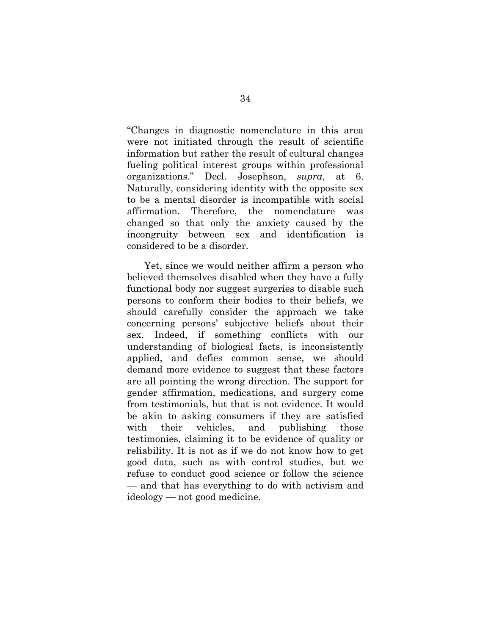"Changes in diagnostic nomenclature in this area were not initiated through the result of scientific information but rather the result of cultural changes fueling political interest groups within professional organizations." Decl. Josephson, *supra*, at 6. Naturally, considering identity with the opposite sex to be a mental disorder is incompatible with social affirmation. Therefore, the nomenclature was changed so that only the anxiety caused by the incongruity between sex and identification is considered to be a disorder.

Yet, since we would neither affirm a person who believed themselves disabled when they have a fully functional body nor suggest surgeries to disable such persons to conform their bodies to their beliefs, we should carefully consider the approach we take concerning persons' subjective beliefs about their sex. Indeed, if something conflicts with our understanding of biological facts, is inconsistently applied, and defies common sense, we should demand more evidence to suggest that these factors are all pointing the wrong direction. The support for gender affirmation, medications, and surgery come from testimonials, but that is not evidence. It would be akin to asking consumers if they are satisfied with their vehicles, and publishing those testimonies, claiming it to be evidence of quality or reliability. It is not as if we do not know how to get good data, such as with control studies, but we refuse to conduct good science or follow the science — and that has everything to do with activism and ideology — not good medicine.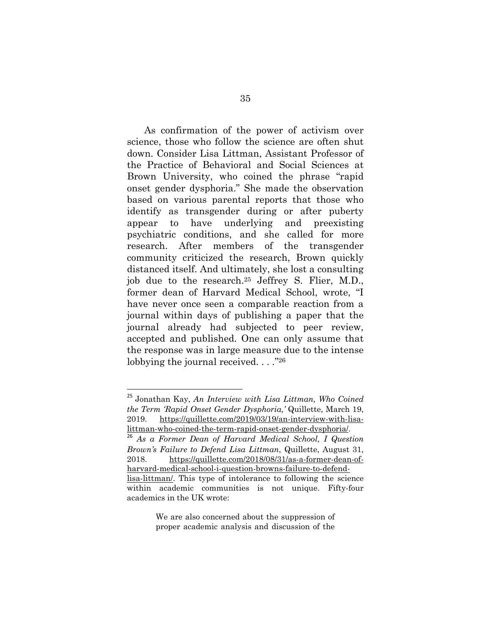As confirmation of the power of activism over science, those who follow the science are often shut down. Consider Lisa Littman, Assistant Professor of the Practice of Behavioral and Social Sciences at Brown University, who coined the phrase "rapid onset gender dysphoria." She made the observation based on various parental reports that those who identify as transgender during or after puberty appear to have underlying and preexisting psychiatric conditions, and she called for more research. After members of the transgender community criticized the research, Brown quickly distanced itself. And ultimately, she lost a consulting job due to the research.25 Jeffrey S. Flier, M.D., former dean of Harvard Medical School, wrote, "I have never once seen a comparable reaction from a journal within days of publishing a paper that the journal already had subjected to peer review, accepted and published. One can only assume that the response was in large measure due to the intense lobbying the journal received. . . . "26"

We are also concerned about the suppression of proper academic analysis and discussion of the

<sup>25</sup> Jonathan Kay, *An Interview with Lisa Littman, Who Coined the Term 'Rapid Onset Gender Dysphoria,'* Quillette, March 19, 2019. https://quillette.com/2019/03/19/an-interview-with-lisalittman-who-coined-the-term-rapid-onset-gender-dysphoria/.

<sup>26</sup> *As a Former Dean of Harvard Medical School, I Question Brown's Failure to Defend Lisa Littman*, Quillette, August 31, 2018. https://quillette.com/2018/08/31/as-a-former-dean-ofharvard-medical-school-i-question-browns-failure-to-defendlisa-littman/. This type of intolerance to following the science within academic communities is not unique. Fifty-four academics in the UK wrote: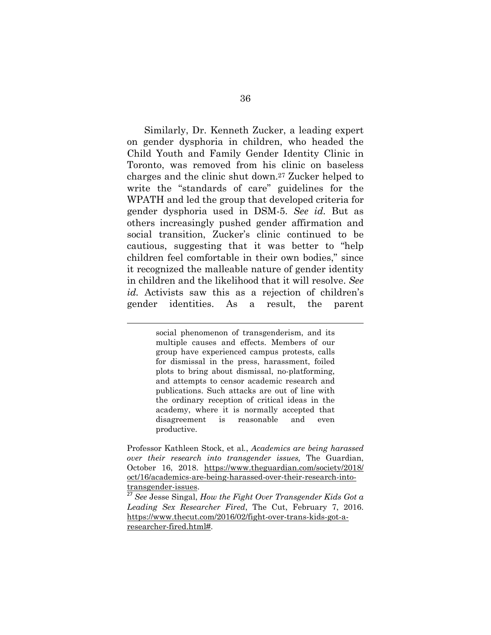Similarly, Dr. Kenneth Zucker, a leading expert on gender dysphoria in children, who headed the Child Youth and Family Gender Identity Clinic in Toronto, was removed from his clinic on baseless charges and the clinic shut down.27 Zucker helped to write the "standards of care" guidelines for the WPATH and led the group that developed criteria for gender dysphoria used in DSM-5. *See id.* But as others increasingly pushed gender affirmation and social transition, Zucker's clinic continued to be cautious, suggesting that it was better to "help children feel comfortable in their own bodies," since it recognized the malleable nature of gender identity in children and the likelihood that it will resolve. *See id.* Activists saw this as a rejection of children's gender identities. As a result, the parent

> social phenomenon of transgenderism, and its multiple causes and effects. Members of our group have experienced campus protests, calls for dismissal in the press, harassment, foiled plots to bring about dismissal, no-platforming, and attempts to censor academic research and publications. Such attacks are out of line with the ordinary reception of critical ideas in the academy, where it is normally accepted that disagreement is reasonable and even productive.

<u> 1989 - Johann Stein, marwolaethau a bhann an t-Amhain Aonaichte ann an t-Amhain Aonaichte ann an t-Amhain Aon</u>

Professor Kathleen Stock, et al*.*, *Academics are being harassed over their research into transgender issues,* The Guardian, October 16, 2018. https://www.theguardian.com/society/2018/ oct/16/academics-are-being-harassed-over-their-research-intotransgender-issues.

<sup>27</sup> *See* Jesse Singal, *How the Fight Over Transgender Kids Got a Leading Sex Researcher Fired*, The Cut, February 7, 2016. https://www.thecut.com/2016/02/fight-over-trans-kids-got-aresearcher-fired.html#.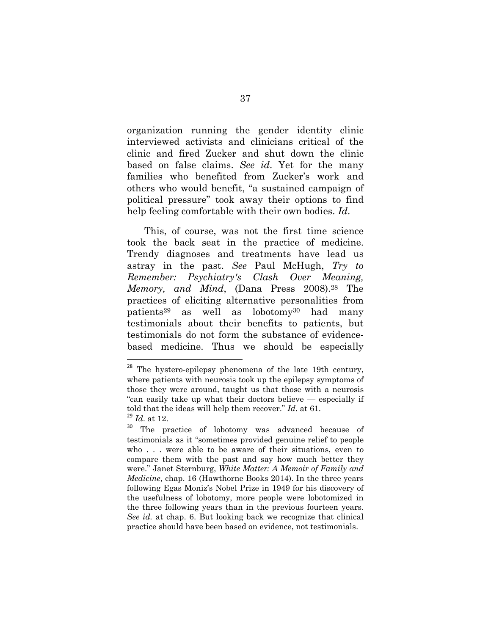organization running the gender identity clinic interviewed activists and clinicians critical of the clinic and fired Zucker and shut down the clinic based on false claims. *See id*. Yet for the many families who benefited from Zucker's work and others who would benefit, "a sustained campaign of political pressure" took away their options to find help feeling comfortable with their own bodies. *Id*.

This, of course, was not the first time science took the back seat in the practice of medicine. Trendy diagnoses and treatments have lead us astray in the past. *See* Paul McHugh, *Try to Remember: Psychiatry's Clash Over Meaning, Memory, and Mind*, (Dana Press 2008).28 The practices of eliciting alternative personalities from patients29 as well as lobotomy30 had many testimonials about their benefits to patients, but testimonials do not form the substance of evidencebased medicine. Thus we should be especially

 $28$  The hystero-epilepsy phenomena of the late 19th century, where patients with neurosis took up the epilepsy symptoms of those they were around, taught us that those with a neurosis "can easily take up what their doctors believe — especially if told that the ideas will help them recover." *Id*. at 61.  $^{29}$  *Id.* at 12.

The practice of lobotomy was advanced because of testimonials as it "sometimes provided genuine relief to people who . . . were able to be aware of their situations, even to compare them with the past and say how much better they were." Janet Sternburg, *White Matter: A Memoir of Family and Medicine*, chap. 16 (Hawthorne Books 2014). In the three years following Egas Moniz's Nobel Prize in 1949 for his discovery of the usefulness of lobotomy, more people were lobotomized in the three following years than in the previous fourteen years. *See id.* at chap. 6. But looking back we recognize that clinical practice should have been based on evidence, not testimonials.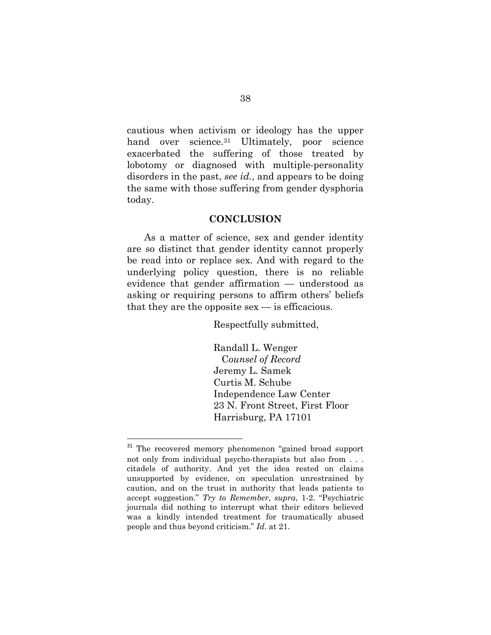cautious when activism or ideology has the upper hand over science.<sup>31</sup> Ultimately, poor science exacerbated the suffering of those treated by lobotomy or diagnosed with multiple-personality disorders in the past, *see id.*, and appears to be doing the same with those suffering from gender dysphoria today.

#### **CONCLUSION**

As a matter of science, sex and gender identity are so distinct that gender identity cannot properly be read into or replace sex. And with regard to the underlying policy question, there is no reliable evidence that gender affirmation — understood as asking or requiring persons to affirm others' beliefs that they are the opposite  $sex$  — is efficacious.

Respectfully submitted,

 Randall L. Wenger C*ounsel of Record* Jeremy L. Samek Curtis M. Schube Independence Law Center 23 N. Front Street, First Floor Harrisburg, PA 17101

The recovered memory phenomenon "gained broad support not only from individual psycho-therapists but also from . . . citadels of authority. And yet the idea rested on claims unsupported by evidence, on speculation unrestrained by caution, and on the trust in authority that leads patients to accept suggestion." *Try to Remember*, *supra*, 1-2. "Psychiatric journals did nothing to interrupt what their editors believed was a kindly intended treatment for traumatically abused people and thus beyond criticism." *Id*. at 21.